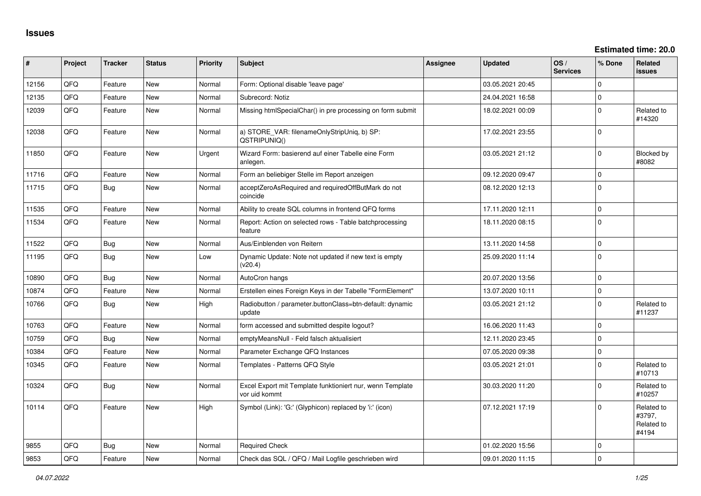**Estimated time: 20.0**

| #     | Project | <b>Tracker</b> | <b>Status</b> | <b>Priority</b> | <b>Subject</b>                                                             | <b>Assignee</b> | <b>Updated</b>   | OS/<br><b>Services</b> | % Done       | Related<br><b>issues</b>                    |
|-------|---------|----------------|---------------|-----------------|----------------------------------------------------------------------------|-----------------|------------------|------------------------|--------------|---------------------------------------------|
| 12156 | QFQ     | Feature        | <b>New</b>    | Normal          | Form: Optional disable 'leave page'                                        |                 | 03.05.2021 20:45 |                        | $\mathbf 0$  |                                             |
| 12135 | QFQ     | Feature        | <b>New</b>    | Normal          | Subrecord: Notiz                                                           |                 | 24.04.2021 16:58 |                        | $\mathbf{0}$ |                                             |
| 12039 | QFQ     | Feature        | <b>New</b>    | Normal          | Missing htmlSpecialChar() in pre processing on form submit                 |                 | 18.02.2021 00:09 |                        | $\Omega$     | Related to<br>#14320                        |
| 12038 | QFQ     | Feature        | <b>New</b>    | Normal          | a) STORE_VAR: filenameOnlyStripUniq, b) SP:<br>QSTRIPUNIQ()                |                 | 17.02.2021 23:55 |                        | $\mathbf 0$  |                                             |
| 11850 | QFQ     | Feature        | New           | Urgent          | Wizard Form: basierend auf einer Tabelle eine Form<br>anlegen.             |                 | 03.05.2021 21:12 |                        | $\mathbf 0$  | Blocked by<br>#8082                         |
| 11716 | QFQ     | Feature        | <b>New</b>    | Normal          | Form an beliebiger Stelle im Report anzeigen                               |                 | 09.12.2020 09:47 |                        | $\mathbf 0$  |                                             |
| 11715 | QFQ     | <b>Bug</b>     | <b>New</b>    | Normal          | acceptZeroAsRequired and requiredOffButMark do not<br>coincide             |                 | 08.12.2020 12:13 |                        | $\mathbf 0$  |                                             |
| 11535 | QFQ     | Feature        | <b>New</b>    | Normal          | Ability to create SQL columns in frontend QFQ forms                        |                 | 17.11.2020 12:11 |                        | $\mathbf 0$  |                                             |
| 11534 | QFQ     | Feature        | New           | Normal          | Report: Action on selected rows - Table batchprocessing<br>feature         |                 | 18.11.2020 08:15 |                        | $\mathbf 0$  |                                             |
| 11522 | QFQ     | Bug            | <b>New</b>    | Normal          | Aus/Einblenden von Reitern                                                 |                 | 13.11.2020 14:58 |                        | $\mathbf 0$  |                                             |
| 11195 | QFQ     | Bug            | <b>New</b>    | Low             | Dynamic Update: Note not updated if new text is empty<br>(v20.4)           |                 | 25.09.2020 11:14 |                        | $\mathbf{0}$ |                                             |
| 10890 | QFQ     | Bug            | New           | Normal          | AutoCron hangs                                                             |                 | 20.07.2020 13:56 |                        | $\mathbf{0}$ |                                             |
| 10874 | QFQ     | Feature        | <b>New</b>    | Normal          | Erstellen eines Foreign Keys in der Tabelle "FormElement"                  |                 | 13.07.2020 10:11 |                        | $\mathbf{0}$ |                                             |
| 10766 | QFQ     | Bug            | New           | High            | Radiobutton / parameter.buttonClass=btn-default: dynamic<br>update         |                 | 03.05.2021 21:12 |                        | $\Omega$     | Related to<br>#11237                        |
| 10763 | QFQ     | Feature        | <b>New</b>    | Normal          | form accessed and submitted despite logout?                                |                 | 16.06.2020 11:43 |                        | $\mathbf{0}$ |                                             |
| 10759 | QFQ     | Bug            | <b>New</b>    | Normal          | emptyMeansNull - Feld falsch aktualisiert                                  |                 | 12.11.2020 23:45 |                        | $\Omega$     |                                             |
| 10384 | QFQ     | Feature        | New           | Normal          | Parameter Exchange QFQ Instances                                           |                 | 07.05.2020 09:38 |                        | $\mathbf 0$  |                                             |
| 10345 | QFQ     | Feature        | <b>New</b>    | Normal          | Templates - Patterns QFQ Style                                             |                 | 03.05.2021 21:01 |                        | $\Omega$     | Related to<br>#10713                        |
| 10324 | QFQ     | Bug            | <b>New</b>    | Normal          | Excel Export mit Template funktioniert nur, wenn Template<br>vor uid kommt |                 | 30.03.2020 11:20 |                        | 0            | Related to<br>#10257                        |
| 10114 | QFQ     | Feature        | New           | High            | Symbol (Link): 'G:' (Glyphicon) replaced by 'i:' (icon)                    |                 | 07.12.2021 17:19 |                        | $\Omega$     | Related to<br>#3797,<br>Related to<br>#4194 |
| 9855  | QFQ     | Bug            | New           | Normal          | <b>Required Check</b>                                                      |                 | 01.02.2020 15:56 |                        | $\Omega$     |                                             |
| 9853  | QFQ     | Feature        | New           | Normal          | Check das SQL / QFQ / Mail Logfile geschrieben wird                        |                 | 09.01.2020 11:15 |                        | $\mathbf 0$  |                                             |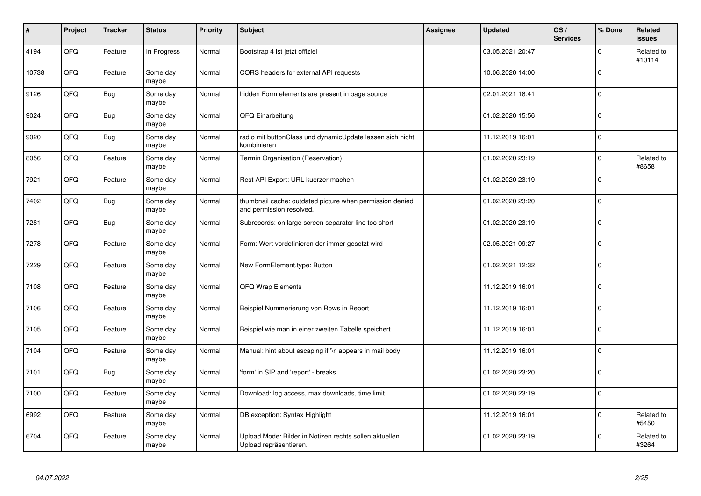| #     | Project | <b>Tracker</b> | <b>Status</b>     | <b>Priority</b> | <b>Subject</b>                                                                       | Assignee | <b>Updated</b>   | OS/<br><b>Services</b> | % Done      | Related<br><b>issues</b> |
|-------|---------|----------------|-------------------|-----------------|--------------------------------------------------------------------------------------|----------|------------------|------------------------|-------------|--------------------------|
| 4194  | QFQ     | Feature        | In Progress       | Normal          | Bootstrap 4 ist jetzt offiziel                                                       |          | 03.05.2021 20:47 |                        | 0           | Related to<br>#10114     |
| 10738 | QFQ     | Feature        | Some day<br>maybe | Normal          | CORS headers for external API requests                                               |          | 10.06.2020 14:00 |                        | $\mathbf 0$ |                          |
| 9126  | QFQ     | <b>Bug</b>     | Some day<br>maybe | Normal          | hidden Form elements are present in page source                                      |          | 02.01.2021 18:41 |                        | $\Omega$    |                          |
| 9024  | QFQ     | <b>Bug</b>     | Some day<br>maybe | Normal          | QFQ Einarbeitung                                                                     |          | 01.02.2020 15:56 |                        | 0           |                          |
| 9020  | QFQ     | Bug            | Some day<br>maybe | Normal          | radio mit buttonClass und dynamicUpdate lassen sich nicht<br>kombinieren             |          | 11.12.2019 16:01 |                        | $\mathbf 0$ |                          |
| 8056  | QFQ     | Feature        | Some day<br>maybe | Normal          | Termin Organisation (Reservation)                                                    |          | 01.02.2020 23:19 |                        | 0           | Related to<br>#8658      |
| 7921  | QFQ     | Feature        | Some day<br>maybe | Normal          | Rest API Export: URL kuerzer machen                                                  |          | 01.02.2020 23:19 |                        | $\Omega$    |                          |
| 7402  | QFQ     | Bug            | Some day<br>maybe | Normal          | thumbnail cache: outdated picture when permission denied<br>and permission resolved. |          | 01.02.2020 23:20 |                        | $\Omega$    |                          |
| 7281  | QFQ     | <b>Bug</b>     | Some day<br>maybe | Normal          | Subrecords: on large screen separator line too short                                 |          | 01.02.2020 23:19 |                        | $\Omega$    |                          |
| 7278  | QFQ     | Feature        | Some day<br>maybe | Normal          | Form: Wert vordefinieren der immer gesetzt wird                                      |          | 02.05.2021 09:27 |                        | $\mathbf 0$ |                          |
| 7229  | QFQ     | Feature        | Some day<br>maybe | Normal          | New FormElement.type: Button                                                         |          | 01.02.2021 12:32 |                        | $\mathbf 0$ |                          |
| 7108  | QFQ     | Feature        | Some day<br>maybe | Normal          | QFQ Wrap Elements                                                                    |          | 11.12.2019 16:01 |                        | $\Omega$    |                          |
| 7106  | QFQ     | Feature        | Some day<br>maybe | Normal          | Beispiel Nummerierung von Rows in Report                                             |          | 11.12.2019 16:01 |                        | $\mathbf 0$ |                          |
| 7105  | QFQ     | Feature        | Some day<br>maybe | Normal          | Beispiel wie man in einer zweiten Tabelle speichert.                                 |          | 11.12.2019 16:01 |                        | $\mathbf 0$ |                          |
| 7104  | QFQ     | Feature        | Some day<br>maybe | Normal          | Manual: hint about escaping if '\r' appears in mail body                             |          | 11.12.2019 16:01 |                        | $\Omega$    |                          |
| 7101  | QFQ     | <b>Bug</b>     | Some day<br>maybe | Normal          | 'form' in SIP and 'report' - breaks                                                  |          | 01.02.2020 23:20 |                        | $\Omega$    |                          |
| 7100  | QFQ     | Feature        | Some day<br>maybe | Normal          | Download: log access, max downloads, time limit                                      |          | 01.02.2020 23:19 |                        | $\Omega$    |                          |
| 6992  | QFQ     | Feature        | Some day<br>maybe | Normal          | DB exception: Syntax Highlight                                                       |          | 11.12.2019 16:01 |                        | $\Omega$    | Related to<br>#5450      |
| 6704  | QFQ     | Feature        | Some day<br>maybe | Normal          | Upload Mode: Bilder in Notizen rechts sollen aktuellen<br>Upload repräsentieren.     |          | 01.02.2020 23:19 |                        | 0           | Related to<br>#3264      |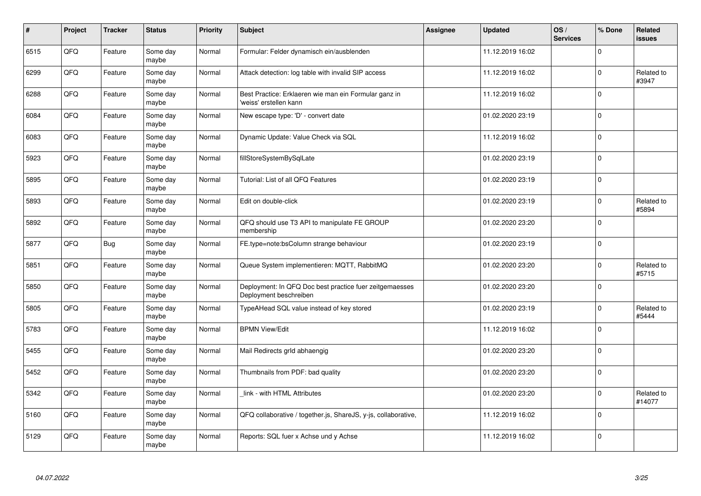| $\vert$ # | Project | <b>Tracker</b> | <b>Status</b>     | <b>Priority</b> | <b>Subject</b>                                                                    | <b>Assignee</b> | <b>Updated</b>   | OS/<br><b>Services</b> | % Done         | Related<br><b>issues</b> |
|-----------|---------|----------------|-------------------|-----------------|-----------------------------------------------------------------------------------|-----------------|------------------|------------------------|----------------|--------------------------|
| 6515      | QFQ     | Feature        | Some day<br>maybe | Normal          | Formular: Felder dynamisch ein/ausblenden                                         |                 | 11.12.2019 16:02 |                        | $\Omega$       |                          |
| 6299      | QFQ     | Feature        | Some day<br>maybe | Normal          | Attack detection: log table with invalid SIP access                               |                 | 11.12.2019 16:02 |                        | $\Omega$       | Related to<br>#3947      |
| 6288      | QFQ     | Feature        | Some day<br>maybe | Normal          | Best Practice: Erklaeren wie man ein Formular ganz in<br>'weiss' erstellen kann   |                 | 11.12.2019 16:02 |                        | $\Omega$       |                          |
| 6084      | QFQ     | Feature        | Some day<br>maybe | Normal          | New escape type: 'D' - convert date                                               |                 | 01.02.2020 23:19 |                        | $\Omega$       |                          |
| 6083      | QFQ     | Feature        | Some day<br>maybe | Normal          | Dynamic Update: Value Check via SQL                                               |                 | 11.12.2019 16:02 |                        | $\Omega$       |                          |
| 5923      | QFQ     | Feature        | Some day<br>maybe | Normal          | fillStoreSystemBySqlLate                                                          |                 | 01.02.2020 23:19 |                        | $\Omega$       |                          |
| 5895      | QFQ     | Feature        | Some day<br>maybe | Normal          | Tutorial: List of all QFQ Features                                                |                 | 01.02.2020 23:19 |                        | $\overline{0}$ |                          |
| 5893      | QFQ     | Feature        | Some day<br>maybe | Normal          | Edit on double-click                                                              |                 | 01.02.2020 23:19 |                        | $\Omega$       | Related to<br>#5894      |
| 5892      | QFQ     | Feature        | Some day<br>maybe | Normal          | QFQ should use T3 API to manipulate FE GROUP<br>membership                        |                 | 01.02.2020 23:20 |                        | $\Omega$       |                          |
| 5877      | QFQ     | Bug            | Some day<br>maybe | Normal          | FE.type=note:bsColumn strange behaviour                                           |                 | 01.02.2020 23:19 |                        | $\mathbf{0}$   |                          |
| 5851      | QFQ     | Feature        | Some day<br>maybe | Normal          | Queue System implementieren: MQTT, RabbitMQ                                       |                 | 01.02.2020 23:20 |                        | $\Omega$       | Related to<br>#5715      |
| 5850      | QFQ     | Feature        | Some day<br>maybe | Normal          | Deployment: In QFQ Doc best practice fuer zeitgemaesses<br>Deployment beschreiben |                 | 01.02.2020 23:20 |                        | $\Omega$       |                          |
| 5805      | QFQ     | Feature        | Some day<br>maybe | Normal          | TypeAHead SQL value instead of key stored                                         |                 | 01.02.2020 23:19 |                        | $\mathbf 0$    | Related to<br>#5444      |
| 5783      | QFQ     | Feature        | Some day<br>maybe | Normal          | <b>BPMN View/Edit</b>                                                             |                 | 11.12.2019 16:02 |                        | $\mathbf 0$    |                          |
| 5455      | QFQ     | Feature        | Some day<br>maybe | Normal          | Mail Redirects grld abhaengig                                                     |                 | 01.02.2020 23:20 |                        | $\Omega$       |                          |
| 5452      | QFQ     | Feature        | Some day<br>maybe | Normal          | Thumbnails from PDF: bad quality                                                  |                 | 01.02.2020 23:20 |                        | $\Omega$       |                          |
| 5342      | QFQ     | Feature        | Some day<br>maybe | Normal          | link - with HTML Attributes                                                       |                 | 01.02.2020 23:20 |                        | $\Omega$       | Related to<br>#14077     |
| 5160      | QFQ     | Feature        | Some day<br>maybe | Normal          | QFQ collaborative / together.js, ShareJS, y-js, collaborative,                    |                 | 11.12.2019 16:02 |                        | $\Omega$       |                          |
| 5129      | QFQ     | Feature        | Some day<br>maybe | Normal          | Reports: SQL fuer x Achse und y Achse                                             |                 | 11.12.2019 16:02 |                        | $\Omega$       |                          |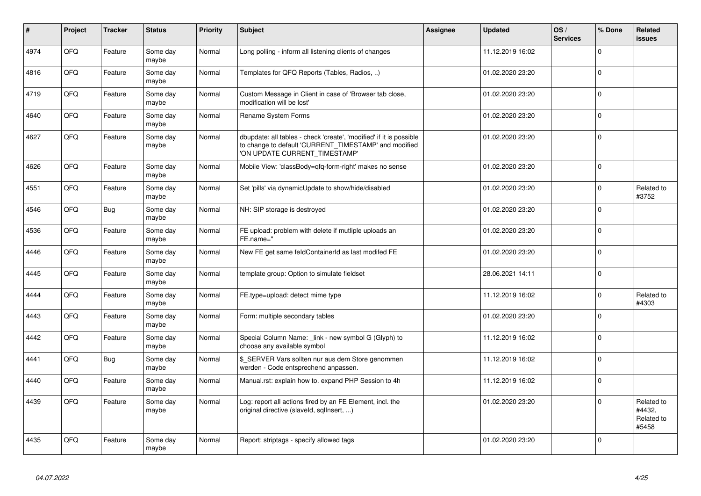| $\vert$ # | Project | <b>Tracker</b> | <b>Status</b>     | <b>Priority</b> | Subject                                                                                                                                                       | Assignee | <b>Updated</b>   | OS/<br><b>Services</b> | % Done       | Related<br>issues                           |
|-----------|---------|----------------|-------------------|-----------------|---------------------------------------------------------------------------------------------------------------------------------------------------------------|----------|------------------|------------------------|--------------|---------------------------------------------|
| 4974      | QFQ     | Feature        | Some day<br>maybe | Normal          | Long polling - inform all listening clients of changes                                                                                                        |          | 11.12.2019 16:02 |                        | $\mathbf{0}$ |                                             |
| 4816      | QFQ     | Feature        | Some dav<br>maybe | Normal          | Templates for QFQ Reports (Tables, Radios, )                                                                                                                  |          | 01.02.2020 23:20 |                        | $\mathbf 0$  |                                             |
| 4719      | QFQ     | Feature        | Some day<br>maybe | Normal          | Custom Message in Client in case of 'Browser tab close,<br>modification will be lost'                                                                         |          | 01.02.2020 23:20 |                        | $\Omega$     |                                             |
| 4640      | QFQ     | Feature        | Some day<br>maybe | Normal          | Rename System Forms                                                                                                                                           |          | 01.02.2020 23:20 |                        | $\Omega$     |                                             |
| 4627      | QFQ     | Feature        | Some dav<br>maybe | Normal          | dbupdate: all tables - check 'create', 'modified' if it is possible<br>to change to default 'CURRENT_TIMESTAMP' and modified<br>'ON UPDATE CURRENT_TIMESTAMP' |          | 01.02.2020 23:20 |                        | $\mathbf 0$  |                                             |
| 4626      | QFQ     | Feature        | Some day<br>maybe | Normal          | Mobile View: 'classBody=qfq-form-right' makes no sense                                                                                                        |          | 01.02.2020 23:20 |                        | $\Omega$     |                                             |
| 4551      | QFQ     | Feature        | Some dav<br>maybe | Normal          | Set 'pills' via dynamicUpdate to show/hide/disabled                                                                                                           |          | 01.02.2020 23:20 |                        | $\mathbf{0}$ | Related to<br>#3752                         |
| 4546      | QFQ     | Bug            | Some day<br>maybe | Normal          | NH: SIP storage is destroyed                                                                                                                                  |          | 01.02.2020 23:20 |                        | $\mathbf 0$  |                                             |
| 4536      | QFQ     | Feature        | Some day<br>maybe | Normal          | FE upload: problem with delete if mutliple uploads an<br>FE.name="                                                                                            |          | 01.02.2020 23:20 |                        | $\Omega$     |                                             |
| 4446      | QFQ     | Feature        | Some day<br>maybe | Normal          | New FE get same feldContainerId as last modifed FE                                                                                                            |          | 01.02.2020 23:20 |                        | $\mathbf 0$  |                                             |
| 4445      | QFQ     | Feature        | Some day<br>maybe | Normal          | template group: Option to simulate fieldset                                                                                                                   |          | 28.06.2021 14:11 |                        | $\Omega$     |                                             |
| 4444      | QFQ     | Feature        | Some day<br>maybe | Normal          | FE.type=upload: detect mime type                                                                                                                              |          | 11.12.2019 16:02 |                        | $\Omega$     | Related to<br>#4303                         |
| 4443      | QFQ     | Feature        | Some day<br>maybe | Normal          | Form: multiple secondary tables                                                                                                                               |          | 01.02.2020 23:20 |                        | $\mathbf 0$  |                                             |
| 4442      | QFQ     | Feature        | Some day<br>maybe | Normal          | Special Column Name: link - new symbol G (Glyph) to<br>choose any available symbol                                                                            |          | 11.12.2019 16:02 |                        | $\mathbf{0}$ |                                             |
| 4441      | QFQ     | Bug            | Some day<br>maybe | Normal          | \$ SERVER Vars sollten nur aus dem Store genommen<br>werden - Code entsprechend anpassen.                                                                     |          | 11.12.2019 16:02 |                        | $\mathbf{0}$ |                                             |
| 4440      | QFQ     | Feature        | Some day<br>maybe | Normal          | Manual.rst: explain how to. expand PHP Session to 4h                                                                                                          |          | 11.12.2019 16:02 |                        | $\mathbf 0$  |                                             |
| 4439      | QFQ     | Feature        | Some dav<br>maybe | Normal          | Log: report all actions fired by an FE Element, incl. the<br>original directive (slaveld, sqllnsert, )                                                        |          | 01.02.2020 23:20 |                        | $\mathbf 0$  | Related to<br>#4432,<br>Related to<br>#5458 |
| 4435      | QFQ     | Feature        | Some day<br>maybe | Normal          | Report: striptags - specify allowed tags                                                                                                                      |          | 01.02.2020 23:20 |                        | $\Omega$     |                                             |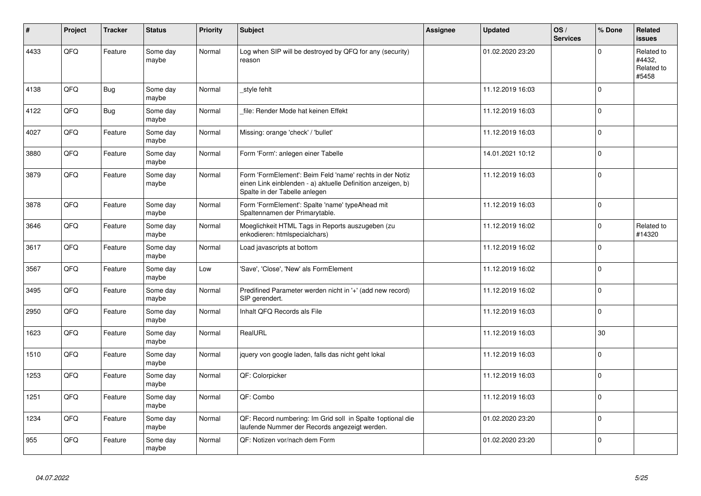| $\vert$ # | Project | <b>Tracker</b> | <b>Status</b>     | <b>Priority</b> | <b>Subject</b>                                                                                                                                           | Assignee | <b>Updated</b>   | OS/<br><b>Services</b> | % Done       | Related<br><b>issues</b>                    |
|-----------|---------|----------------|-------------------|-----------------|----------------------------------------------------------------------------------------------------------------------------------------------------------|----------|------------------|------------------------|--------------|---------------------------------------------|
| 4433      | QFQ     | Feature        | Some day<br>maybe | Normal          | Log when SIP will be destroyed by QFQ for any (security)<br>reason                                                                                       |          | 01.02.2020 23:20 |                        | $\mathbf{0}$ | Related to<br>#4432,<br>Related to<br>#5458 |
| 4138      | QFQ     | <b>Bug</b>     | Some day<br>maybe | Normal          | style fehlt                                                                                                                                              |          | 11.12.2019 16:03 |                        | $\Omega$     |                                             |
| 4122      | QFQ     | Bug            | Some day<br>maybe | Normal          | file: Render Mode hat keinen Effekt                                                                                                                      |          | 11.12.2019 16:03 |                        | $\Omega$     |                                             |
| 4027      | QFQ     | Feature        | Some day<br>maybe | Normal          | Missing: orange 'check' / 'bullet'                                                                                                                       |          | 11.12.2019 16:03 |                        | $\Omega$     |                                             |
| 3880      | QFQ     | Feature        | Some day<br>maybe | Normal          | Form 'Form': anlegen einer Tabelle                                                                                                                       |          | 14.01.2021 10:12 |                        | $\mathsf{O}$ |                                             |
| 3879      | QFQ     | Feature        | Some day<br>maybe | Normal          | Form 'FormElement': Beim Feld 'name' rechts in der Notiz<br>einen Link einblenden - a) aktuelle Definition anzeigen, b)<br>Spalte in der Tabelle anlegen |          | 11.12.2019 16:03 |                        | $\mathbf{0}$ |                                             |
| 3878      | QFQ     | Feature        | Some day<br>maybe | Normal          | Form 'FormElement': Spalte 'name' typeAhead mit<br>Spaltennamen der Primarytable.                                                                        |          | 11.12.2019 16:03 |                        | $\Omega$     |                                             |
| 3646      | QFQ     | Feature        | Some day<br>maybe | Normal          | Moeglichkeit HTML Tags in Reports auszugeben (zu<br>enkodieren: htmlspecialchars)                                                                        |          | 11.12.2019 16:02 |                        | $\mathbf{0}$ | Related to<br>#14320                        |
| 3617      | QFQ     | Feature        | Some day<br>maybe | Normal          | Load javascripts at bottom                                                                                                                               |          | 11.12.2019 16:02 |                        | $\mathbf{0}$ |                                             |
| 3567      | QFQ     | Feature        | Some dav<br>maybe | Low             | 'Save', 'Close', 'New' als FormElement                                                                                                                   |          | 11.12.2019 16:02 |                        | $\mathbf{0}$ |                                             |
| 3495      | QFQ     | Feature        | Some day<br>maybe | Normal          | Predifined Parameter werden nicht in '+' (add new record)<br>SIP gerendert.                                                                              |          | 11.12.2019 16:02 |                        | $\mathbf 0$  |                                             |
| 2950      | QFQ     | Feature        | Some day<br>maybe | Normal          | Inhalt QFQ Records als File                                                                                                                              |          | 11.12.2019 16:03 |                        | $\mathbf 0$  |                                             |
| 1623      | QFQ     | Feature        | Some day<br>maybe | Normal          | RealURL                                                                                                                                                  |          | 11.12.2019 16:03 |                        | 30           |                                             |
| 1510      | QFQ     | Feature        | Some day<br>maybe | Normal          | jquery von google laden, falls das nicht geht lokal                                                                                                      |          | 11.12.2019 16:03 |                        | $\Omega$     |                                             |
| 1253      | QFQ     | Feature        | Some day<br>maybe | Normal          | QF: Colorpicker                                                                                                                                          |          | 11.12.2019 16:03 |                        | $\mathsf{O}$ |                                             |
| 1251      | QFQ     | Feature        | Some day<br>maybe | Normal          | QF: Combo                                                                                                                                                |          | 11.12.2019 16:03 |                        | $\mathbf 0$  |                                             |
| 1234      | QFQ     | Feature        | Some day<br>maybe | Normal          | QF: Record numbering: Im Grid soll in Spalte 1 optional die<br>laufende Nummer der Records angezeigt werden.                                             |          | 01.02.2020 23:20 |                        | $\mathbf 0$  |                                             |
| 955       | QFQ     | Feature        | Some day<br>maybe | Normal          | QF: Notizen vor/nach dem Form                                                                                                                            |          | 01.02.2020 23:20 |                        | $\mathbf 0$  |                                             |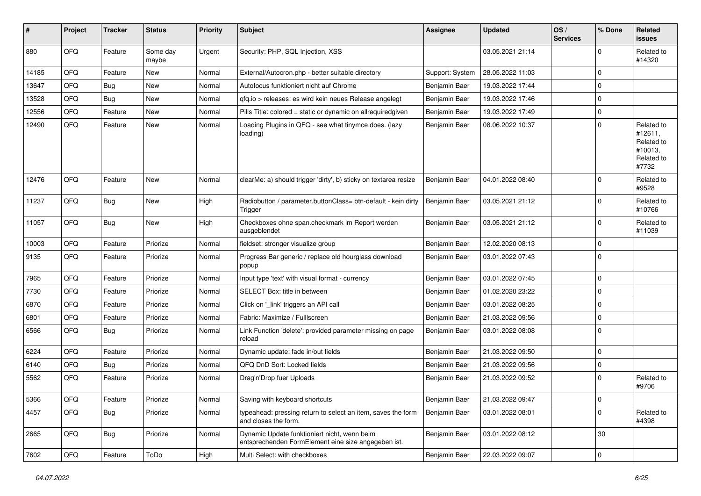| #     | Project | <b>Tracker</b> | <b>Status</b>     | <b>Priority</b> | Subject                                                                                             | <b>Assignee</b> | <b>Updated</b>   | OS/<br><b>Services</b> | % Done         | Related<br>issues                                                     |
|-------|---------|----------------|-------------------|-----------------|-----------------------------------------------------------------------------------------------------|-----------------|------------------|------------------------|----------------|-----------------------------------------------------------------------|
| 880   | QFQ     | Feature        | Some day<br>maybe | Urgent          | Security: PHP, SQL Injection, XSS                                                                   |                 | 03.05.2021 21:14 |                        | $\Omega$       | Related to<br>#14320                                                  |
| 14185 | QFQ     | Feature        | New               | Normal          | External/Autocron.php - better suitable directory                                                   | Support: System | 28.05.2022 11:03 |                        | $\mathbf 0$    |                                                                       |
| 13647 | QFQ     | Bug            | New               | Normal          | Autofocus funktioniert nicht auf Chrome                                                             | Benjamin Baer   | 19.03.2022 17:44 |                        | $\mathbf 0$    |                                                                       |
| 13528 | QFQ     | Bug            | New               | Normal          | gfg.io > releases: es wird kein neues Release angelegt                                              | Benjamin Baer   | 19.03.2022 17:46 |                        | $\mathbf 0$    |                                                                       |
| 12556 | QFQ     | Feature        | New               | Normal          | Pills Title: colored = static or dynamic on allrequiredgiven                                        | Benjamin Baer   | 19.03.2022 17:49 |                        | $\mathbf{0}$   |                                                                       |
| 12490 | QFQ     | Feature        | New               | Normal          | Loading Plugins in QFQ - see what tinymce does. (lazy<br>loading)                                   | Benjamin Baer   | 08.06.2022 10:37 |                        | $\Omega$       | Related to<br>#12611,<br>Related to<br>#10013,<br>Related to<br>#7732 |
| 12476 | QFQ     | Feature        | <b>New</b>        | Normal          | clearMe: a) should trigger 'dirty', b) sticky on textarea resize                                    | Benjamin Baer   | 04.01.2022 08:40 |                        | $\Omega$       | Related to<br>#9528                                                   |
| 11237 | QFQ     | Bug            | <b>New</b>        | High            | Radiobutton / parameter.buttonClass= btn-default - kein dirty<br>Trigger                            | Benjamin Baer   | 03.05.2021 21:12 |                        | $\mathbf{0}$   | Related to<br>#10766                                                  |
| 11057 | QFQ     | <b>Bug</b>     | <b>New</b>        | High            | Checkboxes ohne span.checkmark im Report werden<br>ausgeblendet                                     | Benjamin Baer   | 03.05.2021 21:12 |                        | $\mathbf{0}$   | Related to<br>#11039                                                  |
| 10003 | QFQ     | Feature        | Priorize          | Normal          | fieldset: stronger visualize group                                                                  | Benjamin Baer   | 12.02.2020 08:13 |                        | $\mathbf 0$    |                                                                       |
| 9135  | QFQ     | Feature        | Priorize          | Normal          | Progress Bar generic / replace old hourglass download<br>popup                                      | Benjamin Baer   | 03.01.2022 07:43 |                        | $\Omega$       |                                                                       |
| 7965  | QFQ     | Feature        | Priorize          | Normal          | Input type 'text' with visual format - currency                                                     | Benjamin Baer   | 03.01.2022 07:45 |                        | $\Omega$       |                                                                       |
| 7730  | QFQ     | Feature        | Priorize          | Normal          | SELECT Box: title in between                                                                        | Benjamin Baer   | 01.02.2020 23:22 |                        | $\mathbf{0}$   |                                                                       |
| 6870  | QFQ     | Feature        | Priorize          | Normal          | Click on '_link' triggers an API call                                                               | Benjamin Baer   | 03.01.2022 08:25 |                        | $\mathbf{0}$   |                                                                       |
| 6801  | QFQ     | Feature        | Priorize          | Normal          | Fabric: Maximize / FullIscreen                                                                      | Benjamin Baer   | 21.03.2022 09:56 |                        | $\mathbf{0}$   |                                                                       |
| 6566  | QFQ     | <b>Bug</b>     | Priorize          | Normal          | Link Function 'delete': provided parameter missing on page<br>reload                                | Benjamin Baer   | 03.01.2022 08:08 |                        | $\mathbf{0}$   |                                                                       |
| 6224  | QFQ     | Feature        | Priorize          | Normal          | Dynamic update: fade in/out fields                                                                  | Benjamin Baer   | 21.03.2022 09:50 |                        | $\mathbf{0}$   |                                                                       |
| 6140  | QFQ     | <b>Bug</b>     | Priorize          | Normal          | QFQ DnD Sort: Locked fields                                                                         | Benjamin Baer   | 21.03.2022 09:56 |                        | 0              |                                                                       |
| 5562  | QFQ     | Feature        | Priorize          | Normal          | Drag'n'Drop fuer Uploads                                                                            | Benjamin Baer   | 21.03.2022 09:52 |                        | $\Omega$       | Related to<br>#9706                                                   |
| 5366  | QFQ     | Feature        | Priorize          | Normal          | Saving with keyboard shortcuts                                                                      | Benjamin Baer   | 21.03.2022 09:47 |                        | $\overline{0}$ |                                                                       |
| 4457  | QFQ     | <b>Bug</b>     | Priorize          | Normal          | typeahead: pressing return to select an item, saves the form<br>and closes the form.                | Benjamin Baer   | 03.01.2022 08:01 |                        | $\mathbf{0}$   | Related to<br>#4398                                                   |
| 2665  | QFQ     | <b>Bug</b>     | Priorize          | Normal          | Dynamic Update funktioniert nicht, wenn beim<br>entsprechenden FormElement eine size angegeben ist. | Benjamin Baer   | 03.01.2022 08:12 |                        | 30             |                                                                       |
| 7602  | QFQ     | Feature        | ToDo              | High            | Multi Select: with checkboxes                                                                       | Benjamin Baer   | 22.03.2022 09:07 |                        | $\mathbf 0$    |                                                                       |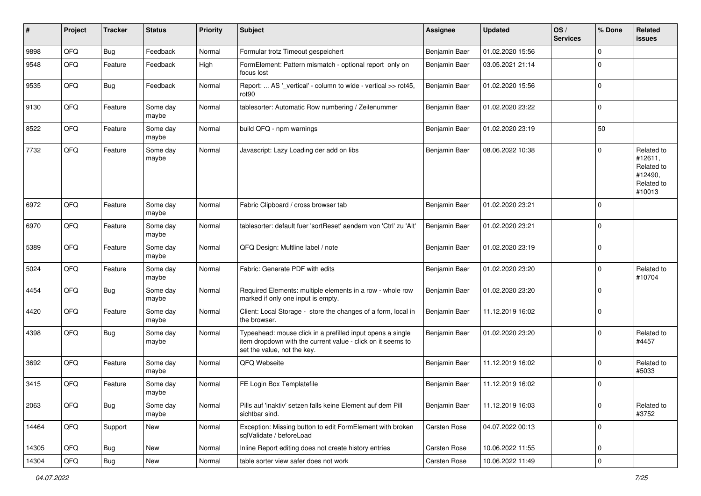| #     | Project | <b>Tracker</b> | <b>Status</b>     | <b>Priority</b> | <b>Subject</b>                                                                                                                                           | <b>Assignee</b>      | <b>Updated</b>   | OS/<br><b>Services</b> | % Done         | Related<br>issues                                                      |
|-------|---------|----------------|-------------------|-----------------|----------------------------------------------------------------------------------------------------------------------------------------------------------|----------------------|------------------|------------------------|----------------|------------------------------------------------------------------------|
| 9898  | QFQ     | Bug            | Feedback          | Normal          | Formular trotz Timeout gespeichert                                                                                                                       | <b>Benjamin Baer</b> | 01.02.2020 15:56 |                        | $\mathbf 0$    |                                                                        |
| 9548  | QFQ     | Feature        | Feedback          | High            | FormElement: Pattern mismatch - optional report only on<br>focus lost                                                                                    | Benjamin Baer        | 03.05.2021 21:14 |                        | $\Omega$       |                                                                        |
| 9535  | QFQ     | Bug            | Feedback          | Normal          | Report:  AS '_vertical' - column to wide - vertical >> rot45,<br>rot90                                                                                   | Benjamin Baer        | 01.02.2020 15:56 |                        | $\mathbf 0$    |                                                                        |
| 9130  | QFQ     | Feature        | Some day<br>maybe | Normal          | tablesorter: Automatic Row numbering / Zeilenummer                                                                                                       | Benjamin Baer        | 01.02.2020 23:22 |                        | $\mathbf{0}$   |                                                                        |
| 8522  | QFQ     | Feature        | Some day<br>maybe | Normal          | build QFQ - npm warnings                                                                                                                                 | Benjamin Baer        | 01.02.2020 23:19 |                        | 50             |                                                                        |
| 7732  | QFQ     | Feature        | Some day<br>maybe | Normal          | Javascript: Lazy Loading der add on libs                                                                                                                 | Benjamin Baer        | 08.06.2022 10:38 |                        | $\Omega$       | Related to<br>#12611,<br>Related to<br>#12490,<br>Related to<br>#10013 |
| 6972  | QFQ     | Feature        | Some day<br>maybe | Normal          | Fabric Clipboard / cross browser tab                                                                                                                     | Benjamin Baer        | 01.02.2020 23:21 |                        | $\Omega$       |                                                                        |
| 6970  | QFQ     | Feature        | Some day<br>maybe | Normal          | tablesorter: default fuer 'sortReset' aendern von 'Ctrl' zu 'Alt'                                                                                        | Benjamin Baer        | 01.02.2020 23:21 |                        | $\Omega$       |                                                                        |
| 5389  | QFQ     | Feature        | Some day<br>maybe | Normal          | QFQ Design: Multline label / note                                                                                                                        | Benjamin Baer        | 01.02.2020 23:19 |                        | $\Omega$       |                                                                        |
| 5024  | QFQ     | Feature        | Some day<br>maybe | Normal          | Fabric: Generate PDF with edits                                                                                                                          | Benjamin Baer        | 01.02.2020 23:20 |                        | $\Omega$       | Related to<br>#10704                                                   |
| 4454  | QFQ     | <b>Bug</b>     | Some day<br>maybe | Normal          | Required Elements: multiple elements in a row - whole row<br>marked if only one input is empty.                                                          | Benjamin Baer        | 01.02.2020 23:20 |                        | $\Omega$       |                                                                        |
| 4420  | QFQ     | Feature        | Some day<br>maybe | Normal          | Client: Local Storage - store the changes of a form, local in<br>the browser.                                                                            | Benjamin Baer        | 11.12.2019 16:02 |                        | $\mathbf 0$    |                                                                        |
| 4398  | QFQ     | Bug            | Some day<br>maybe | Normal          | Typeahead: mouse click in a prefilled input opens a single<br>item dropdown with the current value - click on it seems to<br>set the value, not the key. | Benjamin Baer        | 01.02.2020 23:20 |                        | $\mathbf{0}$   | Related to<br>#4457                                                    |
| 3692  | QFQ     | Feature        | Some day<br>maybe | Normal          | QFQ Webseite                                                                                                                                             | Benjamin Baer        | 11.12.2019 16:02 |                        | $\mathbf{0}$   | Related to<br>#5033                                                    |
| 3415  | QFQ     | Feature        | Some day<br>maybe | Normal          | FE Login Box Templatefile                                                                                                                                | Benjamin Baer        | 11.12.2019 16:02 |                        | $\Omega$       |                                                                        |
| 2063  | QFG     | <b>Bug</b>     | Some day<br>maybe | Normal          | Pills auf 'inaktiv' setzen falls keine Element auf dem Pill<br>sichtbar sind.                                                                            | Benjamin Baer        | 11.12.2019 16:03 |                        | $\overline{0}$ | Related to<br>#3752                                                    |
| 14464 | QFO     | Support        | New               | Normal          | Exception: Missing button to edit FormElement with broken<br>sqlValidate / beforeLoad                                                                    | <b>Carsten Rose</b>  | 04.07.2022 00:13 |                        | $\overline{0}$ |                                                                        |
| 14305 | QFQ     | <b>Bug</b>     | New               | Normal          | Inline Report editing does not create history entries                                                                                                    | Carsten Rose         | 10.06.2022 11:55 |                        | $\mathbf 0$    |                                                                        |
| 14304 | QFG     | Bug            | New               | Normal          | table sorter view safer does not work                                                                                                                    | Carsten Rose         | 10.06.2022 11:49 |                        | $\mathbf 0$    |                                                                        |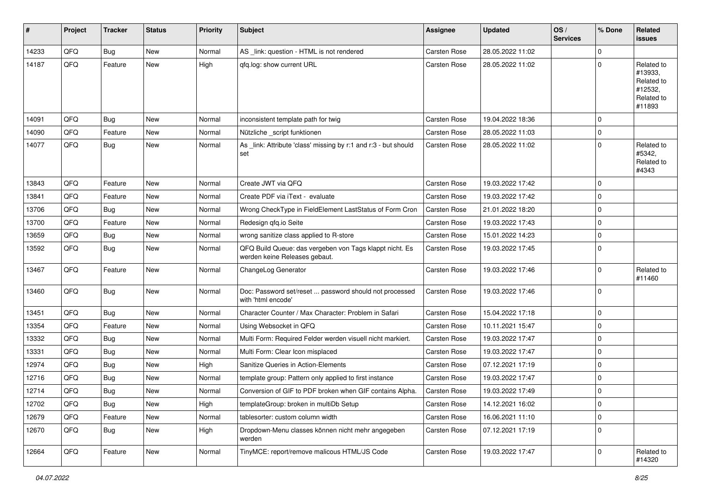| #     | Project | <b>Tracker</b> | <b>Status</b> | <b>Priority</b> | <b>Subject</b>                                                                           | <b>Assignee</b>     | <b>Updated</b>   | OS/<br><b>Services</b> | % Done      | Related<br><b>issues</b>                                               |
|-------|---------|----------------|---------------|-----------------|------------------------------------------------------------------------------------------|---------------------|------------------|------------------------|-------------|------------------------------------------------------------------------|
| 14233 | QFQ     | Bug            | <b>New</b>    | Normal          | AS _link: question - HTML is not rendered                                                | <b>Carsten Rose</b> | 28.05.2022 11:02 |                        | $\mathbf 0$ |                                                                        |
| 14187 | QFQ     | Feature        | <b>New</b>    | High            | gfg.log: show current URL                                                                | <b>Carsten Rose</b> | 28.05.2022 11:02 |                        | $\Omega$    | Related to<br>#13933,<br>Related to<br>#12532,<br>Related to<br>#11893 |
| 14091 | QFQ     | <b>Bug</b>     | <b>New</b>    | Normal          | inconsistent template path for twig                                                      | <b>Carsten Rose</b> | 19.04.2022 18:36 |                        | O           |                                                                        |
| 14090 | QFQ     | Feature        | New           | Normal          | Nützliche _script funktionen                                                             | <b>Carsten Rose</b> | 28.05.2022 11:03 |                        | $\Omega$    |                                                                        |
| 14077 | QFQ     | Bug            | New           | Normal          | As link: Attribute 'class' missing by r:1 and r:3 - but should<br>set                    | <b>Carsten Rose</b> | 28.05.2022 11:02 |                        | $\Omega$    | Related to<br>#5342,<br>Related to<br>#4343                            |
| 13843 | QFQ     | Feature        | <b>New</b>    | Normal          | Create JWT via QFQ                                                                       | <b>Carsten Rose</b> | 19.03.2022 17:42 |                        | $\Omega$    |                                                                        |
| 13841 | QFQ     | Feature        | <b>New</b>    | Normal          | Create PDF via iText - evaluate                                                          | <b>Carsten Rose</b> | 19.03.2022 17:42 |                        | $\Omega$    |                                                                        |
| 13706 | QFQ     | Bug            | New           | Normal          | Wrong CheckType in FieldElement LastStatus of Form Cron                                  | <b>Carsten Rose</b> | 21.01.2022 18:20 |                        | $\Omega$    |                                                                        |
| 13700 | QFQ     | Feature        | New           | Normal          | Redesign qfq.io Seite                                                                    | Carsten Rose        | 19.03.2022 17:43 |                        | $\Omega$    |                                                                        |
| 13659 | QFQ     | <b>Bug</b>     | New           | Normal          | wrong sanitize class applied to R-store                                                  | <b>Carsten Rose</b> | 15.01.2022 14:23 |                        | $\Omega$    |                                                                        |
| 13592 | QFQ     | Bug            | New           | Normal          | QFQ Build Queue: das vergeben von Tags klappt nicht. Es<br>werden keine Releases gebaut. | <b>Carsten Rose</b> | 19.03.2022 17:45 |                        | $\Omega$    |                                                                        |
| 13467 | QFQ     | Feature        | <b>New</b>    | Normal          | ChangeLog Generator                                                                      | <b>Carsten Rose</b> | 19.03.2022 17:46 |                        | $\Omega$    | Related to<br>#11460                                                   |
| 13460 | QFQ     | Bug            | <b>New</b>    | Normal          | Doc: Password set/reset  password should not processed<br>with 'html encode'             | <b>Carsten Rose</b> | 19.03.2022 17:46 |                        | $\mathbf 0$ |                                                                        |
| 13451 | QFQ     | Bug            | <b>New</b>    | Normal          | Character Counter / Max Character: Problem in Safari                                     | <b>Carsten Rose</b> | 15.04.2022 17:18 |                        | $\mathbf 0$ |                                                                        |
| 13354 | QFQ     | Feature        | <b>New</b>    | Normal          | Using Websocket in QFQ                                                                   | <b>Carsten Rose</b> | 10.11.2021 15:47 |                        | $\Omega$    |                                                                        |
| 13332 | QFQ     | <b>Bug</b>     | <b>New</b>    | Normal          | Multi Form: Required Felder werden visuell nicht markiert.                               | <b>Carsten Rose</b> | 19.03.2022 17:47 |                        | $\Omega$    |                                                                        |
| 13331 | QFQ     | Bug            | <b>New</b>    | Normal          | Multi Form: Clear Icon misplaced                                                         | Carsten Rose        | 19.03.2022 17:47 |                        | $\Omega$    |                                                                        |
| 12974 | QFQ     | <b>Bug</b>     | New           | High            | Sanitize Queries in Action-Elements                                                      | <b>Carsten Rose</b> | 07.12.2021 17:19 |                        | $\Omega$    |                                                                        |
| 12716 | QFQ     | <b>Bug</b>     | <b>New</b>    | Normal          | template group: Pattern only applied to first instance                                   | <b>Carsten Rose</b> | 19.03.2022 17:47 |                        | $\Omega$    |                                                                        |
| 12714 | QFQ     | <b>Bug</b>     | New           | Normal          | Conversion of GIF to PDF broken when GIF contains Alpha.                                 | <b>Carsten Rose</b> | 19.03.2022 17:49 |                        | $\mathbf 0$ |                                                                        |
| 12702 | QFQ     | Bug            | New           | High            | templateGroup: broken in multiDb Setup                                                   | Carsten Rose        | 14.12.2021 16:02 |                        | $\mathbf 0$ |                                                                        |
| 12679 | QFQ     | Feature        | New           | Normal          | tablesorter: custom column width                                                         | Carsten Rose        | 16.06.2021 11:10 |                        | $\mathbf 0$ |                                                                        |
| 12670 | QFQ     | <b>Bug</b>     | New           | High            | Dropdown-Menu classes können nicht mehr angegeben<br>werden                              | Carsten Rose        | 07.12.2021 17:19 |                        | $\mathbf 0$ |                                                                        |
| 12664 | QFQ     | Feature        | New           | Normal          | TinyMCE: report/remove malicous HTML/JS Code                                             | Carsten Rose        | 19.03.2022 17:47 |                        | $\mathbf 0$ | Related to<br>#14320                                                   |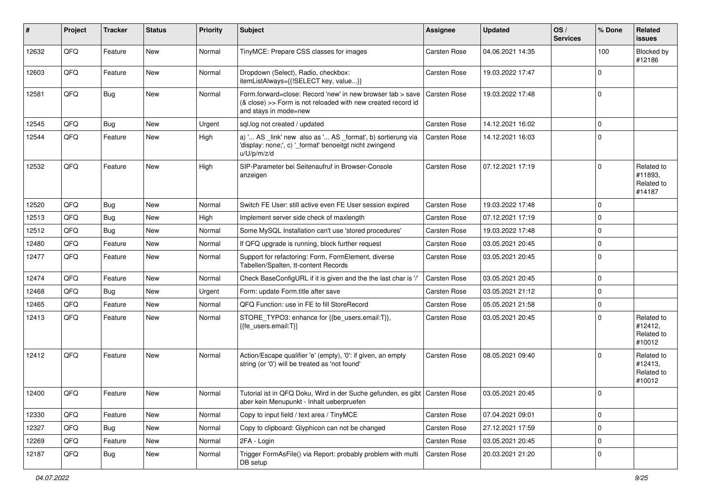| #     | Project | <b>Tracker</b> | <b>Status</b> | <b>Priority</b> | <b>Subject</b>                                                                                                                                      | <b>Assignee</b>     | <b>Updated</b>   | OS/<br><b>Services</b> | % Done         | Related<br>issues                             |
|-------|---------|----------------|---------------|-----------------|-----------------------------------------------------------------------------------------------------------------------------------------------------|---------------------|------------------|------------------------|----------------|-----------------------------------------------|
| 12632 | QFQ     | Feature        | <b>New</b>    | Normal          | TinyMCE: Prepare CSS classes for images                                                                                                             | <b>Carsten Rose</b> | 04.06.2021 14:35 |                        | 100            | Blocked by<br>#12186                          |
| 12603 | QFQ     | Feature        | New           | Normal          | Dropdown (Select), Radio, checkbox:<br>itemListAlways={{!SELECT key, value}}                                                                        | <b>Carsten Rose</b> | 19.03.2022 17:47 |                        | $\mathbf 0$    |                                               |
| 12581 | QFQ     | Bug            | <b>New</b>    | Normal          | Form.forward=close: Record 'new' in new browser tab > save<br>(& close) >> Form is not reloaded with new created record id<br>and stays in mode=new | <b>Carsten Rose</b> | 19.03.2022 17:48 |                        | $\mathbf 0$    |                                               |
| 12545 | QFQ     | Bug            | <b>New</b>    | Urgent          | sql.log not created / updated                                                                                                                       | <b>Carsten Rose</b> | 14.12.2021 16:02 |                        | $\mathbf 0$    |                                               |
| 12544 | QFQ     | Feature        | <b>New</b>    | High            | a) ' AS _link' new also as ' AS _format', b) sortierung via<br>'display: none;', c) '_format' benoeitgt nicht zwingend<br>u/U/p/m/z/d               | <b>Carsten Rose</b> | 14.12.2021 16:03 |                        | $\mathbf 0$    |                                               |
| 12532 | QFQ     | Feature        | <b>New</b>    | High            | SIP-Parameter bei Seitenaufruf in Browser-Console<br>anzeigen                                                                                       | Carsten Rose        | 07.12.2021 17:19 |                        | $\mathbf 0$    | Related to<br>#11893,<br>Related to<br>#14187 |
| 12520 | QFQ     | Bug            | <b>New</b>    | Normal          | Switch FE User: still active even FE User session expired                                                                                           | <b>Carsten Rose</b> | 19.03.2022 17:48 |                        | $\mathbf 0$    |                                               |
| 12513 | QFQ     | Bug            | <b>New</b>    | High            | Implement server side check of maxlength                                                                                                            | <b>Carsten Rose</b> | 07.12.2021 17:19 |                        | $\mathbf 0$    |                                               |
| 12512 | QFQ     | Bug            | <b>New</b>    | Normal          | Some MySQL Installation can't use 'stored procedures'                                                                                               | <b>Carsten Rose</b> | 19.03.2022 17:48 |                        | $\mathbf 0$    |                                               |
| 12480 | QFQ     | Feature        | New           | Normal          | If QFQ upgrade is running, block further request                                                                                                    | <b>Carsten Rose</b> | 03.05.2021 20:45 |                        | $\mathbf 0$    |                                               |
| 12477 | QFQ     | Feature        | New           | Normal          | Support for refactoring: Form, FormElement, diverse<br>Tabellen/Spalten, tt-content Records                                                         | Carsten Rose        | 03.05.2021 20:45 |                        | $\mathbf 0$    |                                               |
| 12474 | QFQ     | Feature        | <b>New</b>    | Normal          | Check BaseConfigURL if it is given and the the last char is '/'                                                                                     | <b>Carsten Rose</b> | 03.05.2021 20:45 |                        | $\mathbf 0$    |                                               |
| 12468 | QFQ     | Bug            | <b>New</b>    | Urgent          | Form: update Form.title after save                                                                                                                  | Carsten Rose        | 03.05.2021 21:12 |                        | $\mathbf 0$    |                                               |
| 12465 | QFQ     | Feature        | <b>New</b>    | Normal          | QFQ Function: use in FE to fill StoreRecord                                                                                                         | <b>Carsten Rose</b> | 05.05.2021 21:58 |                        | $\mathbf 0$    |                                               |
| 12413 | QFQ     | Feature        | New           | Normal          | STORE_TYPO3: enhance for {{be_users.email:T}},<br>{{fe users.email:T}}                                                                              | <b>Carsten Rose</b> | 03.05.2021 20:45 |                        | $\Omega$       | Related to<br>#12412,<br>Related to<br>#10012 |
| 12412 | QFQ     | Feature        | <b>New</b>    | Normal          | Action/Escape qualifier 'e' (empty), '0': if given, an empty<br>string (or '0') will be treated as 'not found'                                      | <b>Carsten Rose</b> | 08.05.2021 09:40 |                        | $\Omega$       | Related to<br>#12413,<br>Related to<br>#10012 |
| 12400 | QFQ     | Feature        | New           | Normal          | Tutorial ist in QFQ Doku, Wird in der Suche gefunden, es gibt   Carsten Rose<br>aber kein Menupunkt - Inhalt ueberpruefen                           |                     | 03.05.2021 20:45 |                        | $\Omega$       |                                               |
| 12330 | QFQ     | Feature        | New           | Normal          | Copy to input field / text area / TinyMCE                                                                                                           | Carsten Rose        | 07.04.2021 09:01 |                        | $\overline{0}$ |                                               |
| 12327 | QFQ     | <b>Bug</b>     | New           | Normal          | Copy to clipboard: Glyphicon can not be changed                                                                                                     | Carsten Rose        | 27.12.2021 17:59 |                        | $\mathbf 0$    |                                               |
| 12269 | QFQ     | Feature        | New           | Normal          | 2FA - Login                                                                                                                                         | Carsten Rose        | 03.05.2021 20:45 |                        | $\mathbf 0$    |                                               |
| 12187 | QFQ     | <b>Bug</b>     | New           | Normal          | Trigger FormAsFile() via Report: probably problem with multi<br>DB setup                                                                            | Carsten Rose        | 20.03.2021 21:20 |                        | 0              |                                               |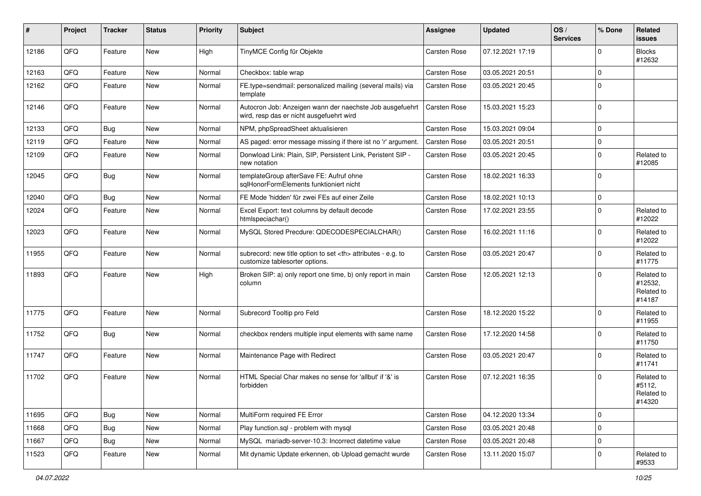| #     | Project | <b>Tracker</b> | <b>Status</b> | <b>Priority</b> | <b>Subject</b>                                                                                       | <b>Assignee</b>                                        | <b>Updated</b>   | OS/<br><b>Services</b> | % Done      | Related<br>issues                             |                      |
|-------|---------|----------------|---------------|-----------------|------------------------------------------------------------------------------------------------------|--------------------------------------------------------|------------------|------------------------|-------------|-----------------------------------------------|----------------------|
| 12186 | QFQ     | Feature        | New           | High            | TinyMCE Config für Objekte                                                                           | <b>Carsten Rose</b>                                    | 07.12.2021 17:19 |                        | O           | <b>Blocks</b><br>#12632                       |                      |
| 12163 | QFQ     | Feature        | New           | Normal          | Checkbox: table wrap                                                                                 | <b>Carsten Rose</b>                                    | 03.05.2021 20:51 |                        | $\Omega$    |                                               |                      |
| 12162 | QFQ     | Feature        | New           | Normal          | FE.type=sendmail: personalized mailing (several mails) via<br>template                               | Carsten Rose                                           | 03.05.2021 20:45 |                        | $\Omega$    |                                               |                      |
| 12146 | QFQ     | Feature        | New           | Normal          | Autocron Job: Anzeigen wann der naechste Job ausgefuehrt<br>wird, resp das er nicht ausgefuehrt wird | <b>Carsten Rose</b>                                    | 15.03.2021 15:23 |                        | $\Omega$    |                                               |                      |
| 12133 | QFQ     | Bug            | New           | Normal          | NPM, phpSpreadSheet aktualisieren                                                                    | Carsten Rose                                           | 15.03.2021 09:04 |                        | $\Omega$    |                                               |                      |
| 12119 | QFQ     | Feature        | <b>New</b>    | Normal          | AS paged: error message missing if there ist no 'r' argument.                                        | <b>Carsten Rose</b>                                    | 03.05.2021 20:51 |                        | 0           |                                               |                      |
| 12109 | QFQ     | Feature        | New           | Normal          | Donwload Link: Plain, SIP, Persistent Link, Peristent SIP -<br>new notation                          | Carsten Rose                                           | 03.05.2021 20:45 |                        | $\Omega$    | Related to<br>#12085                          |                      |
| 12045 | QFQ     | Bug            | New           | Normal          | templateGroup afterSave FE: Aufruf ohne<br>sglHonorFormElements funktioniert nicht                   | <b>Carsten Rose</b>                                    | 18.02.2021 16:33 |                        | $\Omega$    |                                               |                      |
| 12040 | QFQ     | Bug            | <b>New</b>    | Normal          | FE Mode 'hidden' für zwei FEs auf einer Zeile                                                        | <b>Carsten Rose</b>                                    | 18.02.2021 10:13 |                        | $\Omega$    |                                               |                      |
| 12024 | QFQ     | Feature        | New           | Normal          | Excel Export: text columns by default decode<br>htmlspeciachar()                                     | Carsten Rose                                           | 17.02.2021 23:55 |                        | $\Omega$    | Related to<br>#12022                          |                      |
| 12023 | QFQ     | Feature        | New           | Normal          | MySQL Stored Precdure: QDECODESPECIALCHAR()                                                          | <b>Carsten Rose</b>                                    | 16.02.2021 11:16 |                        | $\Omega$    | Related to<br>#12022                          |                      |
| 11955 | QFQ     | Feature        | New           | Normal          | subrecord: new title option to set <th> attributes - e.g. to<br/>customize tablesorter options.</th> | attributes - e.g. to<br>customize tablesorter options. | Carsten Rose     | 03.05.2021 20:47       |             | 0                                             | Related to<br>#11775 |
| 11893 | QFQ     | Feature        | <b>New</b>    | High            | Broken SIP: a) only report one time, b) only report in main<br>column                                | Carsten Rose                                           | 12.05.2021 12:13 |                        | $\Omega$    | Related to<br>#12532,<br>Related to<br>#14187 |                      |
| 11775 | QFQ     | Feature        | New           | Normal          | Subrecord Tooltip pro Feld                                                                           | <b>Carsten Rose</b>                                    | 18.12.2020 15:22 |                        | $\Omega$    | Related to<br>#11955                          |                      |
| 11752 | QFQ     | Bug            | New           | Normal          | checkbox renders multiple input elements with same name                                              | Carsten Rose                                           | 17.12.2020 14:58 |                        | 0           | Related to<br>#11750                          |                      |
| 11747 | QFQ     | Feature        | New           | Normal          | Maintenance Page with Redirect                                                                       | Carsten Rose                                           | 03.05.2021 20:47 |                        | $\Omega$    | Related to<br>#11741                          |                      |
| 11702 | QFQ     | Feature        | New           | Normal          | HTML Special Char makes no sense for 'allbut' if '&' is<br>forbidden                                 | <b>Carsten Rose</b>                                    | 07.12.2021 16:35 |                        | $\Omega$    | Related to<br>#5112,<br>Related to<br>#14320  |                      |
| 11695 | QFQ     | Bug            | <b>New</b>    | Normal          | MultiForm required FE Error                                                                          | Carsten Rose                                           | 04.12.2020 13:34 |                        | $\mathbf 0$ |                                               |                      |
| 11668 | QFQ     | Bug            | New           | Normal          | Play function.sql - problem with mysql                                                               | Carsten Rose                                           | 03.05.2021 20:48 |                        | $\mathbf 0$ |                                               |                      |
| 11667 | QFQ     | <b>Bug</b>     | New           | Normal          | MySQL mariadb-server-10.3: Incorrect datetime value                                                  | Carsten Rose                                           | 03.05.2021 20:48 |                        | 0           |                                               |                      |
| 11523 | QFQ     | Feature        | New           | Normal          | Mit dynamic Update erkennen, ob Upload gemacht wurde                                                 | Carsten Rose                                           | 13.11.2020 15:07 |                        | 0           | Related to<br>#9533                           |                      |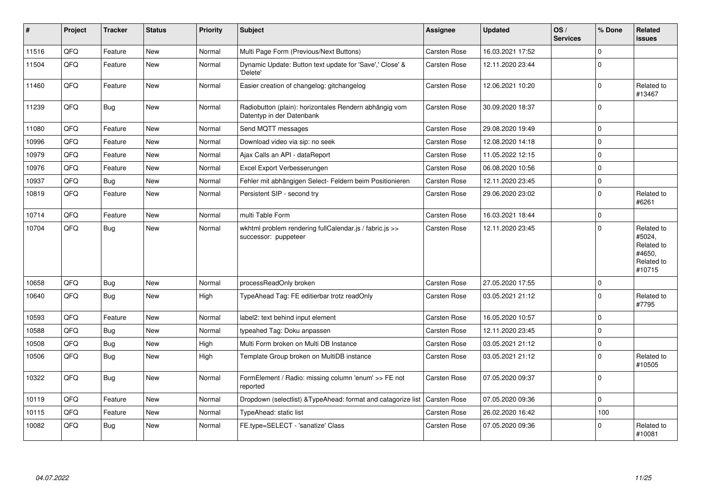| $\vert$ # | Project | <b>Tracker</b> | <b>Status</b> | <b>Priority</b> | <b>Subject</b>                                                                      | <b>Assignee</b>     | <b>Updated</b>   | OS/<br><b>Services</b> | % Done      | Related<br><b>issues</b>                                             |
|-----------|---------|----------------|---------------|-----------------|-------------------------------------------------------------------------------------|---------------------|------------------|------------------------|-------------|----------------------------------------------------------------------|
| 11516     | QFQ     | Feature        | <b>New</b>    | Normal          | Multi Page Form (Previous/Next Buttons)                                             | Carsten Rose        | 16.03.2021 17:52 |                        | 0           |                                                                      |
| 11504     | QFQ     | Feature        | <b>New</b>    | Normal          | Dynamic Update: Button text update for 'Save',' Close' &<br>'Delete'                | <b>Carsten Rose</b> | 12.11.2020 23:44 |                        | $\Omega$    |                                                                      |
| 11460     | QFQ     | Feature        | <b>New</b>    | Normal          | Easier creation of changelog: gitchangelog                                          | <b>Carsten Rose</b> | 12.06.2021 10:20 |                        | 0           | Related to<br>#13467                                                 |
| 11239     | QFQ     | <b>Bug</b>     | <b>New</b>    | Normal          | Radiobutton (plain): horizontales Rendern abhängig vom<br>Datentyp in der Datenbank | Carsten Rose        | 30.09.2020 18:37 |                        | $\Omega$    |                                                                      |
| 11080     | QFQ     | Feature        | <b>New</b>    | Normal          | Send MQTT messages                                                                  | <b>Carsten Rose</b> | 29.08.2020 19:49 |                        | $\Omega$    |                                                                      |
| 10996     | QFQ     | Feature        | <b>New</b>    | Normal          | Download video via sip: no seek                                                     | Carsten Rose        | 12.08.2020 14:18 |                        | $\Omega$    |                                                                      |
| 10979     | QFQ     | Feature        | <b>New</b>    | Normal          | Ajax Calls an API - dataReport                                                      | <b>Carsten Rose</b> | 11.05.2022 12:15 |                        | $\mathbf 0$ |                                                                      |
| 10976     | QFQ     | Feature        | <b>New</b>    | Normal          | Excel Export Verbesserungen                                                         | <b>Carsten Rose</b> | 06.08.2020 10:56 |                        | $\Omega$    |                                                                      |
| 10937     | QFQ     | Bug            | <b>New</b>    | Normal          | Fehler mit abhängigen Select- Feldern beim Positionieren                            | Carsten Rose        | 12.11.2020 23:45 |                        | $\mathbf 0$ |                                                                      |
| 10819     | QFQ     | Feature        | <b>New</b>    | Normal          | Persistent SIP - second try                                                         | Carsten Rose        | 29.06.2020 23:02 |                        | $\Omega$    | Related to<br>#6261                                                  |
| 10714     | QFQ     | Feature        | <b>New</b>    | Normal          | multi Table Form                                                                    | Carsten Rose        | 16.03.2021 18:44 |                        | $\Omega$    |                                                                      |
| 10704     | QFQ     | <b>Bug</b>     | <b>New</b>    | Normal          | wkhtml problem rendering fullCalendar.js / fabric.js >><br>successor: puppeteer     | <b>Carsten Rose</b> | 12.11.2020 23:45 |                        | $\Omega$    | Related to<br>#5024,<br>Related to<br>#4650,<br>Related to<br>#10715 |
| 10658     | QFQ     | <b>Bug</b>     | <b>New</b>    | Normal          | processReadOnly broken                                                              | <b>Carsten Rose</b> | 27.05.2020 17:55 |                        | $\mathbf 0$ |                                                                      |
| 10640     | QFQ     | Bug            | <b>New</b>    | High            | TypeAhead Tag: FE editierbar trotz readOnly                                         | <b>Carsten Rose</b> | 03.05.2021 21:12 |                        | $\Omega$    | Related to<br>#7795                                                  |
| 10593     | QFQ     | Feature        | <b>New</b>    | Normal          | label2: text behind input element                                                   | Carsten Rose        | 16.05.2020 10:57 |                        | $\mathbf 0$ |                                                                      |
| 10588     | QFQ     | <b>Bug</b>     | <b>New</b>    | Normal          | typeahed Tag: Doku anpassen                                                         | <b>Carsten Rose</b> | 12.11.2020 23:45 |                        | $\Omega$    |                                                                      |
| 10508     | QFQ     | Bug            | <b>New</b>    | High            | Multi Form broken on Multi DB Instance                                              | Carsten Rose        | 03.05.2021 21:12 |                        | $\mathbf 0$ |                                                                      |
| 10506     | QFQ     | <b>Bug</b>     | New           | High            | Template Group broken on MultiDB instance                                           | Carsten Rose        | 03.05.2021 21:12 |                        | 0           | Related to<br>#10505                                                 |
| 10322     | QFQ     | <b>Bug</b>     | <b>New</b>    | Normal          | FormElement / Radio: missing column 'enum' >> FE not<br>reported                    | Carsten Rose        | 07.05.2020 09:37 |                        | $\Omega$    |                                                                      |
| 10119     | QFQ     | Feature        | <b>New</b>    | Normal          | Dropdown (selectlist) & Type Ahead: format and catagorize list                      | <b>Carsten Rose</b> | 07.05.2020 09:36 |                        | $\mathbf 0$ |                                                                      |
| 10115     | QFQ     | Feature        | <b>New</b>    | Normal          | TypeAhead: static list                                                              | Carsten Rose        | 26.02.2020 16:42 |                        | 100         |                                                                      |
| 10082     | QFQ     | Bug            | New           | Normal          | FE.type=SELECT - 'sanatize' Class                                                   | <b>Carsten Rose</b> | 07.05.2020 09:36 |                        | $\Omega$    | Related to<br>#10081                                                 |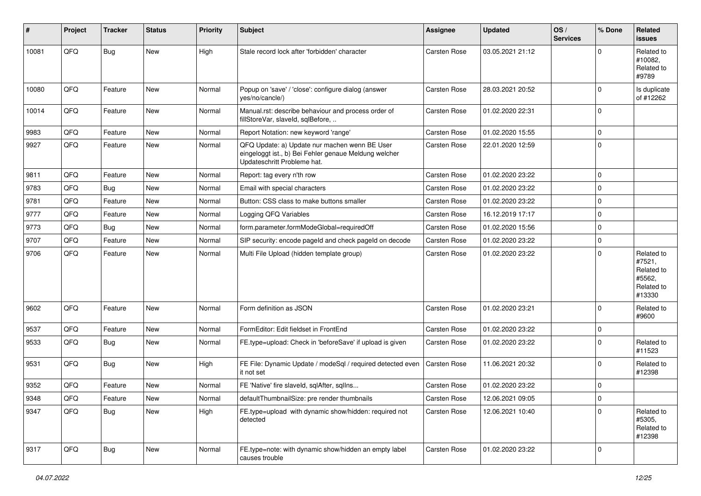| #     | Project | <b>Tracker</b> | <b>Status</b> | <b>Priority</b> | <b>Subject</b>                                                                                                                        | <b>Assignee</b>     | <b>Updated</b>   | OS/<br><b>Services</b> | % Done         | Related<br><b>issues</b>                                             |
|-------|---------|----------------|---------------|-----------------|---------------------------------------------------------------------------------------------------------------------------------------|---------------------|------------------|------------------------|----------------|----------------------------------------------------------------------|
| 10081 | QFQ     | Bug            | <b>New</b>    | High            | Stale record lock after 'forbidden' character                                                                                         | <b>Carsten Rose</b> | 03.05.2021 21:12 |                        | $\Omega$       | Related to<br>#10082.<br>Related to<br>#9789                         |
| 10080 | QFQ     | Feature        | <b>New</b>    | Normal          | Popup on 'save' / 'close': configure dialog (answer<br>yes/no/cancle/)                                                                | <b>Carsten Rose</b> | 28.03.2021 20:52 |                        | $\Omega$       | Is duplicate<br>of #12262                                            |
| 10014 | QFQ     | Feature        | <b>New</b>    | Normal          | Manual.rst: describe behaviour and process order of<br>fillStoreVar, slaveId, sqlBefore,                                              | <b>Carsten Rose</b> | 01.02.2020 22:31 |                        | $\Omega$       |                                                                      |
| 9983  | QFQ     | Feature        | New           | Normal          | Report Notation: new keyword 'range'                                                                                                  | <b>Carsten Rose</b> | 01.02.2020 15:55 |                        | $\mathbf{0}$   |                                                                      |
| 9927  | QFQ     | Feature        | <b>New</b>    | Normal          | QFQ Update: a) Update nur machen wenn BE User<br>eingeloggt ist., b) Bei Fehler genaue Meldung welcher<br>Updateschritt Probleme hat. | <b>Carsten Rose</b> | 22.01.2020 12:59 |                        | $\overline{0}$ |                                                                      |
| 9811  | QFQ     | Feature        | <b>New</b>    | Normal          | Report: tag every n'th row                                                                                                            | <b>Carsten Rose</b> | 01.02.2020 23:22 |                        | $\Omega$       |                                                                      |
| 9783  | QFQ     | <b>Bug</b>     | <b>New</b>    | Normal          | Email with special characters                                                                                                         | <b>Carsten Rose</b> | 01.02.2020 23:22 |                        | $\Omega$       |                                                                      |
| 9781  | QFQ     | Feature        | <b>New</b>    | Normal          | Button: CSS class to make buttons smaller                                                                                             | <b>Carsten Rose</b> | 01.02.2020 23:22 |                        | $\Omega$       |                                                                      |
| 9777  | QFQ     | Feature        | <b>New</b>    | Normal          | Logging QFQ Variables                                                                                                                 | <b>Carsten Rose</b> | 16.12.2019 17:17 |                        | $\mathbf 0$    |                                                                      |
| 9773  | QFQ     | <b>Bug</b>     | <b>New</b>    | Normal          | form.parameter.formModeGlobal=requiredOff                                                                                             | <b>Carsten Rose</b> | 01.02.2020 15:56 |                        | $\Omega$       |                                                                      |
| 9707  | QFQ     | Feature        | <b>New</b>    | Normal          | SIP security: encode pageld and check pageld on decode                                                                                | <b>Carsten Rose</b> | 01.02.2020 23:22 |                        | $\mathbf{0}$   |                                                                      |
| 9706  | QFQ     | Feature        | New           | Normal          | Multi File Upload (hidden template group)                                                                                             | <b>Carsten Rose</b> | 01.02.2020 23:22 |                        | $\Omega$       | Related to<br>#7521,<br>Related to<br>#5562,<br>Related to<br>#13330 |
| 9602  | QFQ     | Feature        | <b>New</b>    | Normal          | Form definition as JSON                                                                                                               | <b>Carsten Rose</b> | 01.02.2020 23:21 |                        | $\Omega$       | Related to<br>#9600                                                  |
| 9537  | QFQ     | Feature        | <b>New</b>    | Normal          | FormEditor: Edit fieldset in FrontEnd                                                                                                 | <b>Carsten Rose</b> | 01.02.2020 23:22 |                        | $\mathbf{0}$   |                                                                      |
| 9533  | QFQ     | Bug            | New           | Normal          | FE.type=upload: Check in 'beforeSave' if upload is given                                                                              | <b>Carsten Rose</b> | 01.02.2020 23:22 |                        | $\Omega$       | Related to<br>#11523                                                 |
| 9531  | QFQ     | Bug            | <b>New</b>    | High            | FE File: Dynamic Update / modeSql / required detected even<br>it not set                                                              | <b>Carsten Rose</b> | 11.06.2021 20:32 |                        | $\Omega$       | Related to<br>#12398                                                 |
| 9352  | QFQ     | Feature        | New           | Normal          | FE 'Native' fire slaveld, sqlAfter, sqlIns                                                                                            | <b>Carsten Rose</b> | 01.02.2020 23:22 |                        | $\mathbf{0}$   |                                                                      |
| 9348  | QFQ     | Feature        | New           | Normal          | defaultThumbnailSize: pre render thumbnails                                                                                           | Carsten Rose        | 12.06.2021 09:05 |                        | $\mathbf 0$    |                                                                      |
| 9347  | QFQ     | <b>Bug</b>     | New           | High            | FE.type=upload with dynamic show/hidden: required not<br>detected                                                                     | Carsten Rose        | 12.06.2021 10:40 |                        | $\Omega$       | Related to<br>#5305,<br>Related to<br>#12398                         |
| 9317  | QFQ     | <b>Bug</b>     | New           | Normal          | FE.type=note: with dynamic show/hidden an empty label<br>causes trouble                                                               | <b>Carsten Rose</b> | 01.02.2020 23:22 |                        | $\mathbf{0}$   |                                                                      |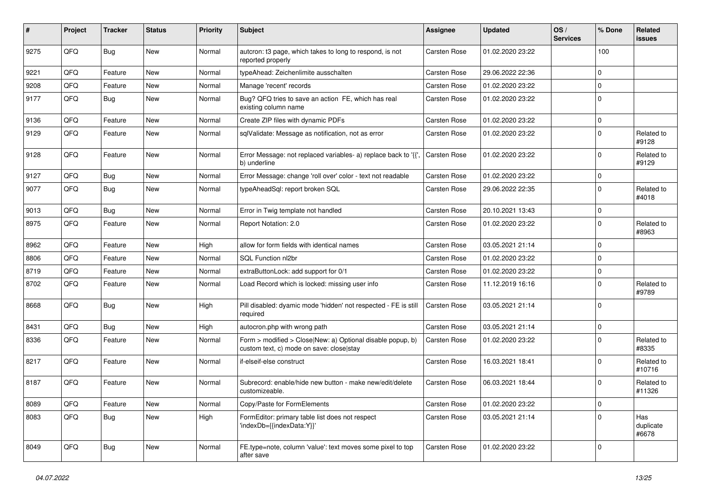| #    | Project | <b>Tracker</b> | <b>Status</b> | <b>Priority</b> | Subject                                                                                                | <b>Assignee</b>     | <b>Updated</b>   | OS/<br><b>Services</b> | % Done      | Related<br>issues         |
|------|---------|----------------|---------------|-----------------|--------------------------------------------------------------------------------------------------------|---------------------|------------------|------------------------|-------------|---------------------------|
| 9275 | QFQ     | Bug            | <b>New</b>    | Normal          | autcron: t3 page, which takes to long to respond, is not<br>reported properly                          | <b>Carsten Rose</b> | 01.02.2020 23:22 |                        | 100         |                           |
| 9221 | QFQ     | Feature        | New           | Normal          | typeAhead: Zeichenlimite ausschalten                                                                   | <b>Carsten Rose</b> | 29.06.2022 22:36 |                        | 0           |                           |
| 9208 | QFQ     | Feature        | New           | Normal          | Manage 'recent' records                                                                                | <b>Carsten Rose</b> | 01.02.2020 23:22 |                        | 0           |                           |
| 9177 | QFQ     | Bug            | <b>New</b>    | Normal          | Bug? QFQ tries to save an action FE, which has real<br>existing column name                            | <b>Carsten Rose</b> | 01.02.2020 23:22 |                        | 0           |                           |
| 9136 | QFQ     | Feature        | <b>New</b>    | Normal          | Create ZIP files with dynamic PDFs                                                                     | <b>Carsten Rose</b> | 01.02.2020 23:22 |                        | $\mathbf 0$ |                           |
| 9129 | QFQ     | Feature        | New           | Normal          | sqlValidate: Message as notification, not as error                                                     | Carsten Rose        | 01.02.2020 23:22 |                        | 0           | Related to<br>#9128       |
| 9128 | QFQ     | Feature        | <b>New</b>    | Normal          | Error Message: not replaced variables- a) replace back to '{'<br>b) underline                          | Carsten Rose        | 01.02.2020 23:22 |                        | 0           | Related to<br>#9129       |
| 9127 | QFQ     | Bug            | New           | Normal          | Error Message: change 'roll over' color - text not readable                                            | <b>Carsten Rose</b> | 01.02.2020 23:22 |                        | $\mathbf 0$ |                           |
| 9077 | QFQ     | <b>Bug</b>     | <b>New</b>    | Normal          | typeAheadSql: report broken SQL                                                                        | Carsten Rose        | 29.06.2022 22:35 |                        | 0           | Related to<br>#4018       |
| 9013 | QFQ     | <b>Bug</b>     | New           | Normal          | Error in Twig template not handled                                                                     | <b>Carsten Rose</b> | 20.10.2021 13:43 |                        | $\mathbf 0$ |                           |
| 8975 | QFQ     | Feature        | New           | Normal          | Report Notation: 2.0                                                                                   | <b>Carsten Rose</b> | 01.02.2020 23:22 |                        | 0           | Related to<br>#8963       |
| 8962 | QFQ     | Feature        | New           | High            | allow for form fields with identical names                                                             | <b>Carsten Rose</b> | 03.05.2021 21:14 |                        | $\mathbf 0$ |                           |
| 8806 | QFQ     | Feature        | New           | Normal          | SQL Function nl2br                                                                                     | <b>Carsten Rose</b> | 01.02.2020 23:22 |                        | 0           |                           |
| 8719 | QFQ     | Feature        | <b>New</b>    | Normal          | extraButtonLock: add support for 0/1                                                                   | <b>Carsten Rose</b> | 01.02.2020 23:22 |                        | 0           |                           |
| 8702 | QFQ     | Feature        | New           | Normal          | Load Record which is locked: missing user info                                                         | Carsten Rose        | 11.12.2019 16:16 |                        | 0           | Related to<br>#9789       |
| 8668 | QFQ     | <b>Bug</b>     | New           | High            | Pill disabled: dyamic mode 'hidden' not respected - FE is still<br>required                            | <b>Carsten Rose</b> | 03.05.2021 21:14 |                        | $\Omega$    |                           |
| 8431 | QFQ     | Bug            | New           | High            | autocron.php with wrong path                                                                           | <b>Carsten Rose</b> | 03.05.2021 21:14 |                        | $\mathbf 0$ |                           |
| 8336 | QFQ     | Feature        | <b>New</b>    | Normal          | Form > modified > Close New: a) Optional disable popup, b)<br>custom text, c) mode on save: close stay | <b>Carsten Rose</b> | 01.02.2020 23:22 |                        | 0           | Related to<br>#8335       |
| 8217 | QFQ     | Feature        | <b>New</b>    | Normal          | if-elseif-else construct                                                                               | <b>Carsten Rose</b> | 16.03.2021 18:41 |                        | 0           | Related to<br>#10716      |
| 8187 | QFQ     | Feature        | New           | Normal          | Subrecord: enable/hide new button - make new/edit/delete<br>customizeable.                             | <b>Carsten Rose</b> | 06.03.2021 18:44 |                        | $\Omega$    | Related to<br>#11326      |
| 8089 | QFO     | Feature        | New           | Normal          | Copy/Paste for FormElements                                                                            | Carsten Rose        | 01.02.2020 23:22 |                        | 0           |                           |
| 8083 | QFQ     | <b>Bug</b>     | New           | High            | FormEditor: primary table list does not respect<br>'indexDb={{indexData:Y}}'                           | Carsten Rose        | 03.05.2021 21:14 |                        | $\Omega$    | Has<br>duplicate<br>#6678 |
| 8049 | QFQ     | Bug            | New           | Normal          | FE.type=note, column 'value': text moves some pixel to top<br>after save                               | Carsten Rose        | 01.02.2020 23:22 |                        | 0           |                           |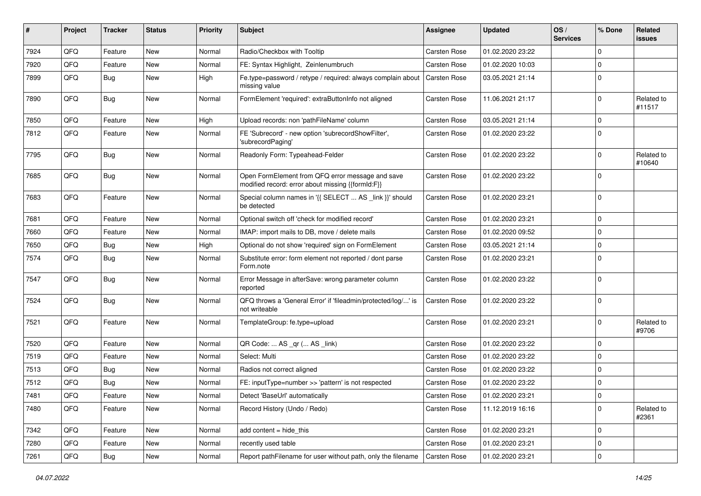| #    | <b>Project</b> | <b>Tracker</b> | <b>Status</b> | <b>Priority</b> | <b>Subject</b>                                                                                        | Assignee            | <b>Updated</b>   | OS/<br><b>Services</b> | % Done       | Related<br>issues    |
|------|----------------|----------------|---------------|-----------------|-------------------------------------------------------------------------------------------------------|---------------------|------------------|------------------------|--------------|----------------------|
| 7924 | QFQ            | Feature        | New           | Normal          | Radio/Checkbox with Tooltip                                                                           | <b>Carsten Rose</b> | 01.02.2020 23:22 |                        | $\mathbf 0$  |                      |
| 7920 | QFQ            | Feature        | New           | Normal          | FE: Syntax Highlight, Zeinlenumbruch                                                                  | <b>Carsten Rose</b> | 01.02.2020 10:03 |                        | $\mathbf 0$  |                      |
| 7899 | QFQ            | Bug            | New           | High            | Fe.type=password / retype / required: always complain about<br>missing value                          | Carsten Rose        | 03.05.2021 21:14 |                        | $\mathbf 0$  |                      |
| 7890 | QFQ            | Bug            | <b>New</b>    | Normal          | FormElement 'required': extraButtonInfo not aligned                                                   | <b>Carsten Rose</b> | 11.06.2021 21:17 |                        | $\mathbf 0$  | Related to<br>#11517 |
| 7850 | QFQ            | Feature        | New           | High            | Upload records: non 'pathFileName' column                                                             | <b>Carsten Rose</b> | 03.05.2021 21:14 |                        | $\mathbf 0$  |                      |
| 7812 | QFQ            | Feature        | New           | Normal          | FE 'Subrecord' - new option 'subrecordShowFilter',<br>'subrecordPaging'                               | Carsten Rose        | 01.02.2020 23:22 |                        | 0            |                      |
| 7795 | QFQ            | Bug            | <b>New</b>    | Normal          | Readonly Form: Typeahead-Felder                                                                       | Carsten Rose        | 01.02.2020 23:22 |                        | $\mathbf 0$  | Related to<br>#10640 |
| 7685 | QFQ            | Bug            | <b>New</b>    | Normal          | Open FormElement from QFQ error message and save<br>modified record: error about missing {{formId:F}} | <b>Carsten Rose</b> | 01.02.2020 23:22 |                        | $\mathbf 0$  |                      |
| 7683 | QFQ            | Feature        | New           | Normal          | Special column names in '{{ SELECT  AS _link }}' should<br>be detected                                | <b>Carsten Rose</b> | 01.02.2020 23:21 |                        | $\mathbf 0$  |                      |
| 7681 | QFQ            | Feature        | <b>New</b>    | Normal          | Optional switch off 'check for modified record'                                                       | <b>Carsten Rose</b> | 01.02.2020 23:21 |                        | $\mathbf 0$  |                      |
| 7660 | QFQ            | Feature        | New           | Normal          | IMAP: import mails to DB, move / delete mails                                                         | <b>Carsten Rose</b> | 01.02.2020 09:52 |                        | $\mathbf 0$  |                      |
| 7650 | QFQ            | <b>Bug</b>     | New           | High            | Optional do not show 'required' sign on FormElement                                                   | <b>Carsten Rose</b> | 03.05.2021 21:14 |                        | $\mathbf{0}$ |                      |
| 7574 | QFQ            | Bug            | New           | Normal          | Substitute error: form element not reported / dont parse<br>Form.note                                 | <b>Carsten Rose</b> | 01.02.2020 23:21 |                        | $\mathbf{0}$ |                      |
| 7547 | QFQ            | Bug            | <b>New</b>    | Normal          | Error Message in afterSave: wrong parameter column<br>reported                                        | Carsten Rose        | 01.02.2020 23:22 |                        | $\mathbf 0$  |                      |
| 7524 | QFQ            | <b>Bug</b>     | <b>New</b>    | Normal          | QFQ throws a 'General Error' if 'fileadmin/protected/log/' is<br>not writeable                        | <b>Carsten Rose</b> | 01.02.2020 23:22 |                        | $\mathbf 0$  |                      |
| 7521 | QFQ            | Feature        | New           | Normal          | TemplateGroup: fe.type=upload                                                                         | Carsten Rose        | 01.02.2020 23:21 |                        | $\mathbf 0$  | Related to<br>#9706  |
| 7520 | QFQ            | Feature        | <b>New</b>    | Normal          | QR Code:  AS _qr ( AS _link)                                                                          | <b>Carsten Rose</b> | 01.02.2020 23:22 |                        | $\mathbf 0$  |                      |
| 7519 | QFQ            | Feature        | New           | Normal          | Select: Multi                                                                                         | <b>Carsten Rose</b> | 01.02.2020 23:22 |                        | $\mathbf 0$  |                      |
| 7513 | QFQ            | <b>Bug</b>     | New           | Normal          | Radios not correct aligned                                                                            | <b>Carsten Rose</b> | 01.02.2020 23:22 |                        | 0            |                      |
| 7512 | QFQ            | <b>Bug</b>     | New           | Normal          | FE: inputType=number >> 'pattern' is not respected                                                    | Carsten Rose        | 01.02.2020 23:22 |                        | $\mathbf{0}$ |                      |
| 7481 | QFQ            | Feature        | New           | Normal          | Detect 'BaseUrl' automatically                                                                        | Carsten Rose        | 01.02.2020 23:21 |                        | 0            |                      |
| 7480 | QFQ            | Feature        | New           | Normal          | Record History (Undo / Redo)                                                                          | <b>Carsten Rose</b> | 11.12.2019 16:16 |                        | 0            | Related to<br>#2361  |
| 7342 | QFQ            | Feature        | <b>New</b>    | Normal          | add content = hide_this                                                                               | Carsten Rose        | 01.02.2020 23:21 |                        | 0            |                      |
| 7280 | QFQ            | Feature        | New           | Normal          | recently used table                                                                                   | Carsten Rose        | 01.02.2020 23:21 |                        | 0            |                      |
| 7261 | QFQ            | <b>Bug</b>     | New           | Normal          | Report pathFilename for user without path, only the filename                                          | <b>Carsten Rose</b> | 01.02.2020 23:21 |                        | 0            |                      |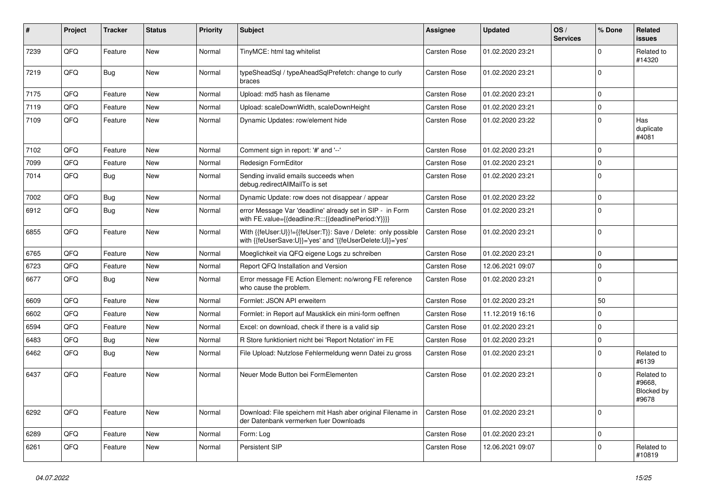| #    | Project | <b>Tracker</b> | <b>Status</b> | <b>Priority</b> | <b>Subject</b>                                                                                                             | Assignee            | <b>Updated</b>   | OS/<br><b>Services</b> | % Done      | <b>Related</b><br><b>issues</b>             |
|------|---------|----------------|---------------|-----------------|----------------------------------------------------------------------------------------------------------------------------|---------------------|------------------|------------------------|-------------|---------------------------------------------|
| 7239 | QFQ     | Feature        | <b>New</b>    | Normal          | TinyMCE: html tag whitelist                                                                                                | <b>Carsten Rose</b> | 01.02.2020 23:21 |                        | $\Omega$    | Related to<br>#14320                        |
| 7219 | QFQ     | Bug            | <b>New</b>    | Normal          | typeSheadSql / typeAheadSqlPrefetch: change to curly<br>braces                                                             | <b>Carsten Rose</b> | 01.02.2020 23:21 |                        | $\mathbf 0$ |                                             |
| 7175 | QFQ     | Feature        | <b>New</b>    | Normal          | Upload: md5 hash as filename                                                                                               | Carsten Rose        | 01.02.2020 23:21 |                        | $\Omega$    |                                             |
| 7119 | QFQ     | Feature        | <b>New</b>    | Normal          | Upload: scaleDownWidth, scaleDownHeight                                                                                    | <b>Carsten Rose</b> | 01.02.2020 23:21 |                        | $\Omega$    |                                             |
| 7109 | QFQ     | Feature        | New           | Normal          | Dynamic Updates: row/element hide                                                                                          | <b>Carsten Rose</b> | 01.02.2020 23:22 |                        | $\Omega$    | Has<br>duplicate<br>#4081                   |
| 7102 | QFQ     | Feature        | New           | Normal          | Comment sign in report: '#' and '--'                                                                                       | <b>Carsten Rose</b> | 01.02.2020 23:21 |                        | $\Omega$    |                                             |
| 7099 | QFQ     | Feature        | New           | Normal          | Redesign FormEditor                                                                                                        | <b>Carsten Rose</b> | 01.02.2020 23:21 |                        | 0           |                                             |
| 7014 | QFQ     | Bug            | New           | Normal          | Sending invalid emails succeeds when<br>debug.redirectAllMailTo is set                                                     | Carsten Rose        | 01.02.2020 23:21 |                        | $\Omega$    |                                             |
| 7002 | QFQ     | Bug            | <b>New</b>    | Normal          | Dynamic Update: row does not disappear / appear                                                                            | <b>Carsten Rose</b> | 01.02.2020 23:22 |                        | $\Omega$    |                                             |
| 6912 | QFQ     | Bug            | <b>New</b>    | Normal          | error Message Var 'deadline' already set in SIP - in Form<br>with FE.value={{deadline:R:::{{deadlinePeriod:Y}}}}           | Carsten Rose        | 01.02.2020 23:21 |                        | $\Omega$    |                                             |
| 6855 | QFQ     | Feature        | <b>New</b>    | Normal          | With {{feUser:U}}!={{feUser:T}}: Save / Delete: only possible<br>with {{feUserSave:U}}='yes' and '{{feUserDelete:U}}='yes' | <b>Carsten Rose</b> | 01.02.2020 23:21 |                        | $\mathbf 0$ |                                             |
| 6765 | QFQ     | Feature        | <b>New</b>    | Normal          | Moeglichkeit via QFQ eigene Logs zu schreiben                                                                              | Carsten Rose        | 01.02.2020 23:21 |                        | $\Omega$    |                                             |
| 6723 | QFQ     | Feature        | New           | Normal          | Report QFQ Installation and Version                                                                                        | Carsten Rose        | 12.06.2021 09:07 |                        | $\Omega$    |                                             |
| 6677 | QFQ     | <b>Bug</b>     | New           | Normal          | Error message FE Action Element: no/wrong FE reference<br>who cause the problem.                                           | Carsten Rose        | 01.02.2020 23:21 |                        | $\Omega$    |                                             |
| 6609 | QFQ     | Feature        | <b>New</b>    | Normal          | Formlet: JSON API erweitern                                                                                                | <b>Carsten Rose</b> | 01.02.2020 23:21 |                        | 50          |                                             |
| 6602 | QFQ     | Feature        | <b>New</b>    | Normal          | Formlet: in Report auf Mausklick ein mini-form oeffnen                                                                     | <b>Carsten Rose</b> | 11.12.2019 16:16 |                        | $\Omega$    |                                             |
| 6594 | QFQ     | Feature        | New           | Normal          | Excel: on download, check if there is a valid sip                                                                          | Carsten Rose        | 01.02.2020 23:21 |                        | $\Omega$    |                                             |
| 6483 | QFQ     | <b>Bug</b>     | <b>New</b>    | Normal          | R Store funktioniert nicht bei 'Report Notation' im FE                                                                     | <b>Carsten Rose</b> | 01.02.2020 23:21 |                        | $\Omega$    |                                             |
| 6462 | QFQ     | Bug            | <b>New</b>    | Normal          | File Upload: Nutzlose Fehlermeldung wenn Datei zu gross                                                                    | <b>Carsten Rose</b> | 01.02.2020 23:21 |                        | $\Omega$    | Related to<br>#6139                         |
| 6437 | QFQ     | Feature        | <b>New</b>    | Normal          | Neuer Mode Button bei FormElementen                                                                                        | <b>Carsten Rose</b> | 01.02.2020 23:21 |                        | $\Omega$    | Related to<br>#9668,<br>Blocked by<br>#9678 |
| 6292 | QFQ     | Feature        | <b>New</b>    | Normal          | Download: File speichern mit Hash aber original Filename in<br>der Datenbank vermerken fuer Downloads                      | <b>Carsten Rose</b> | 01.02.2020 23:21 |                        | $\Omega$    |                                             |
| 6289 | QFQ     | Feature        | <b>New</b>    | Normal          | Form: Log                                                                                                                  | <b>Carsten Rose</b> | 01.02.2020 23:21 |                        | 0           |                                             |
| 6261 | QFQ     | Feature        | New           | Normal          | Persistent SIP                                                                                                             | Carsten Rose        | 12.06.2021 09:07 |                        | $\Omega$    | Related to<br>#10819                        |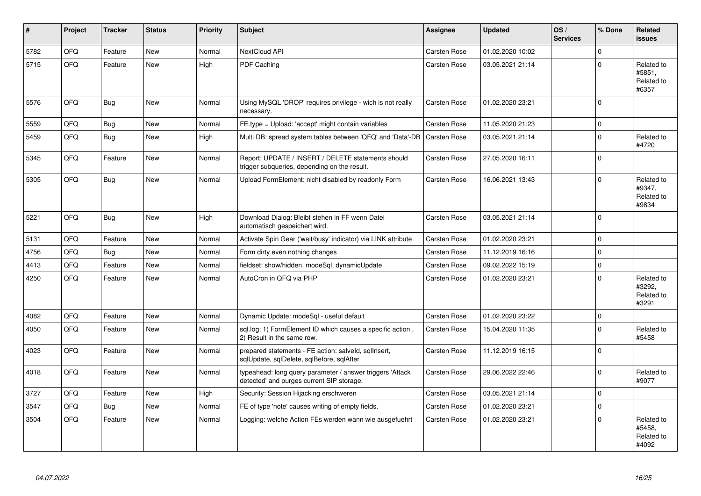| #    | Project | <b>Tracker</b> | <b>Status</b> | <b>Priority</b> | <b>Subject</b>                                                                                         | Assignee            | <b>Updated</b>   | OS/<br><b>Services</b> | % Done      | Related<br><b>issues</b>                    |
|------|---------|----------------|---------------|-----------------|--------------------------------------------------------------------------------------------------------|---------------------|------------------|------------------------|-------------|---------------------------------------------|
| 5782 | QFQ     | Feature        | <b>New</b>    | Normal          | NextCloud API                                                                                          | <b>Carsten Rose</b> | 01.02.2020 10:02 |                        | $\Omega$    |                                             |
| 5715 | QFQ     | Feature        | <b>New</b>    | High            | PDF Caching                                                                                            | Carsten Rose        | 03.05.2021 21:14 |                        | $\Omega$    | Related to<br>#5851,<br>Related to<br>#6357 |
| 5576 | QFQ     | Bug            | <b>New</b>    | Normal          | Using MySQL 'DROP' requires privilege - wich is not really<br>necessary.                               | <b>Carsten Rose</b> | 01.02.2020 23:21 |                        | $\Omega$    |                                             |
| 5559 | QFQ     | Bug            | <b>New</b>    | Normal          | FE.type = Upload: 'accept' might contain variables                                                     | <b>Carsten Rose</b> | 11.05.2020 21:23 |                        | $\mathbf 0$ |                                             |
| 5459 | QFQ     | <b>Bug</b>     | <b>New</b>    | High            | Multi DB: spread system tables between 'QFQ' and 'Data'-DB                                             | Carsten Rose        | 03.05.2021 21:14 |                        | $\Omega$    | Related to<br>#4720                         |
| 5345 | QFQ     | Feature        | New           | Normal          | Report: UPDATE / INSERT / DELETE statements should<br>trigger subqueries, depending on the result.     | Carsten Rose        | 27.05.2020 16:11 |                        | $\Omega$    |                                             |
| 5305 | QFQ     | Bug            | <b>New</b>    | Normal          | Upload FormElement: nicht disabled by readonly Form                                                    | Carsten Rose        | 16.06.2021 13:43 |                        | $\Omega$    | Related to<br>#9347,<br>Related to<br>#9834 |
| 5221 | QFQ     | Bug            | <b>New</b>    | High            | Download Dialog: Bleibt stehen in FF wenn Datei<br>automatisch gespeichert wird.                       | <b>Carsten Rose</b> | 03.05.2021 21:14 |                        | $\Omega$    |                                             |
| 5131 | QFQ     | Feature        | <b>New</b>    | Normal          | Activate Spin Gear ('wait/busy' indicator) via LINK attribute                                          | <b>Carsten Rose</b> | 01.02.2020 23:21 |                        | $\Omega$    |                                             |
| 4756 | QFQ     | <b>Bug</b>     | <b>New</b>    | Normal          | Form dirty even nothing changes                                                                        | <b>Carsten Rose</b> | 11.12.2019 16:16 |                        | $\Omega$    |                                             |
| 4413 | QFQ     | Feature        | New           | Normal          | fieldset: show/hidden, modeSql, dynamicUpdate                                                          | Carsten Rose        | 09.02.2022 15:19 |                        | $\Omega$    |                                             |
| 4250 | QFQ     | Feature        | <b>New</b>    | Normal          | AutoCron in QFQ via PHP                                                                                | Carsten Rose        | 01.02.2020 23:21 |                        | $\Omega$    | Related to<br>#3292,<br>Related to<br>#3291 |
| 4082 | QFQ     | Feature        | <b>New</b>    | Normal          | Dynamic Update: modeSql - useful default                                                               | Carsten Rose        | 01.02.2020 23:22 |                        | 0           |                                             |
| 4050 | QFQ     | Feature        | <b>New</b>    | Normal          | sql.log: 1) FormElement ID which causes a specific action,<br>2) Result in the same row.               | <b>Carsten Rose</b> | 15.04.2020 11:35 |                        | $\Omega$    | Related to<br>#5458                         |
| 4023 | QFQ     | Feature        | <b>New</b>    | Normal          | prepared statements - FE action: salveld, sglInsert,<br>sqlUpdate, sqlDelete, sqlBefore, sqlAfter      | Carsten Rose        | 11.12.2019 16:15 |                        | $\Omega$    |                                             |
| 4018 | QFQ     | Feature        | <b>New</b>    | Normal          | typeahead: long query parameter / answer triggers 'Attack<br>detected' and purges current SIP storage. | Carsten Rose        | 29.06.2022 22:46 |                        | $\Omega$    | Related to<br>#9077                         |
| 3727 | QFQ     | Feature        | <b>New</b>    | High            | Security: Session Hijacking erschweren                                                                 | <b>Carsten Rose</b> | 03.05.2021 21:14 |                        | $\Omega$    |                                             |
| 3547 | QFQ     | Bug            | <b>New</b>    | Normal          | FE of type 'note' causes writing of empty fields.                                                      | Carsten Rose        | 01.02.2020 23:21 |                        | $\Omega$    |                                             |
| 3504 | QFQ     | Feature        | New           | Normal          | Logging: welche Action FEs werden wann wie ausgefuehrt                                                 | Carsten Rose        | 01.02.2020 23:21 |                        | $\Omega$    | Related to<br>#5458.<br>Related to<br>#4092 |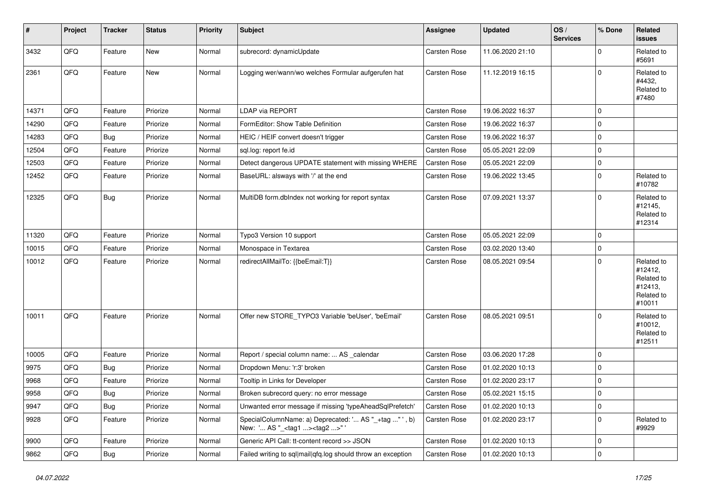| #     | Project | <b>Tracker</b> | <b>Status</b> | <b>Priority</b> | <b>Subject</b>                                                                                     | <b>Assignee</b>     | <b>Updated</b>   | OS/<br><b>Services</b> | % Done      | Related<br><b>issues</b>                                               |
|-------|---------|----------------|---------------|-----------------|----------------------------------------------------------------------------------------------------|---------------------|------------------|------------------------|-------------|------------------------------------------------------------------------|
| 3432  | QFQ     | Feature        | New           | Normal          | subrecord: dynamicUpdate                                                                           | <b>Carsten Rose</b> | 11.06.2020 21:10 |                        | 0           | Related to<br>#5691                                                    |
| 2361  | QFQ     | Feature        | New           | Normal          | Logging wer/wann/wo welches Formular aufgerufen hat                                                | <b>Carsten Rose</b> | 11.12.2019 16:15 |                        | 0           | Related to<br>#4432,<br>Related to<br>#7480                            |
| 14371 | QFQ     | Feature        | Priorize      | Normal          | LDAP via REPORT                                                                                    | <b>Carsten Rose</b> | 19.06.2022 16:37 |                        | 0           |                                                                        |
| 14290 | QFQ     | Feature        | Priorize      | Normal          | FormEditor: Show Table Definition                                                                  | Carsten Rose        | 19.06.2022 16:37 |                        | 0           |                                                                        |
| 14283 | QFQ     | Bug            | Priorize      | Normal          | HEIC / HEIF convert doesn't trigger                                                                | Carsten Rose        | 19.06.2022 16:37 |                        | 0           |                                                                        |
| 12504 | QFQ     | Feature        | Priorize      | Normal          | sql.log: report fe.id                                                                              | Carsten Rose        | 05.05.2021 22:09 |                        | 0           |                                                                        |
| 12503 | QFQ     | Feature        | Priorize      | Normal          | Detect dangerous UPDATE statement with missing WHERE                                               | Carsten Rose        | 05.05.2021 22:09 |                        | 0           |                                                                        |
| 12452 | QFQ     | Feature        | Priorize      | Normal          | BaseURL: alsways with '/' at the end                                                               | Carsten Rose        | 19.06.2022 13:45 |                        | 0           | Related to<br>#10782                                                   |
| 12325 | QFQ     | <b>Bug</b>     | Priorize      | Normal          | MultiDB form.dblndex not working for report syntax                                                 | Carsten Rose        | 07.09.2021 13:37 |                        | 0           | Related to<br>#12145,<br>Related to<br>#12314                          |
| 11320 | QFQ     | Feature        | Priorize      | Normal          | Typo3 Version 10 support                                                                           | <b>Carsten Rose</b> | 05.05.2021 22:09 |                        | 0           |                                                                        |
| 10015 | QFQ     | Feature        | Priorize      | Normal          | Monospace in Textarea                                                                              | Carsten Rose        | 03.02.2020 13:40 |                        | $\mathbf 0$ |                                                                        |
| 10012 | QFQ     | Feature        | Priorize      | Normal          | redirectAllMailTo: {{beEmail:T}}                                                                   | <b>Carsten Rose</b> | 08.05.2021 09:54 |                        | 0           | Related to<br>#12412,<br>Related to<br>#12413,<br>Related to<br>#10011 |
| 10011 | QFQ     | Feature        | Priorize      | Normal          | Offer new STORE_TYPO3 Variable 'beUser', 'beEmail'                                                 | <b>Carsten Rose</b> | 08.05.2021 09:51 |                        | 0           | Related to<br>#10012,<br>Related to<br>#12511                          |
| 10005 | QFQ     | Feature        | Priorize      | Normal          | Report / special column name:  AS calendar                                                         | <b>Carsten Rose</b> | 03.06.2020 17:28 |                        | 0           |                                                                        |
| 9975  | QFQ     | Bug            | Priorize      | Normal          | Dropdown Menu: 'r:3' broken                                                                        | Carsten Rose        | 01.02.2020 10:13 |                        | 0           |                                                                        |
| 9968  | QFQ     | Feature        | Priorize      | Normal          | Tooltip in Links for Developer                                                                     | Carsten Rose        | 01.02.2020 23:17 |                        | 0           |                                                                        |
| 9958  | QFQ     | Bug            | Priorize      | Normal          | Broken subrecord query: no error message                                                           | Carsten Rose        | 05.02.2021 15:15 |                        | $\Omega$    |                                                                        |
| 9947  | QFQ     | Bug            | Priorize      | Normal          | Unwanted error message if missing 'typeAheadSqlPrefetch'                                           | Carsten Rose        | 01.02.2020 10:13 |                        | $\mathbf 0$ |                                                                        |
| 9928  | QFQ     | Feature        | Priorize      | Normal          | SpecialColumnName: a) Deprecated: ' AS "_+tag " ', b)<br>New: ' AS "_ <tag1><tag2>"'</tag2></tag1> | Carsten Rose        | 01.02.2020 23:17 |                        | 0           | Related to<br>#9929                                                    |
| 9900  | QFQ     | Feature        | Priorize      | Normal          | Generic API Call: tt-content record >> JSON                                                        | Carsten Rose        | 01.02.2020 10:13 |                        | 0           |                                                                        |
| 9862  | QFG     | Bug            | Priorize      | Normal          | Failed writing to sql mail qfq.log should throw an exception                                       | Carsten Rose        | 01.02.2020 10:13 |                        | 0           |                                                                        |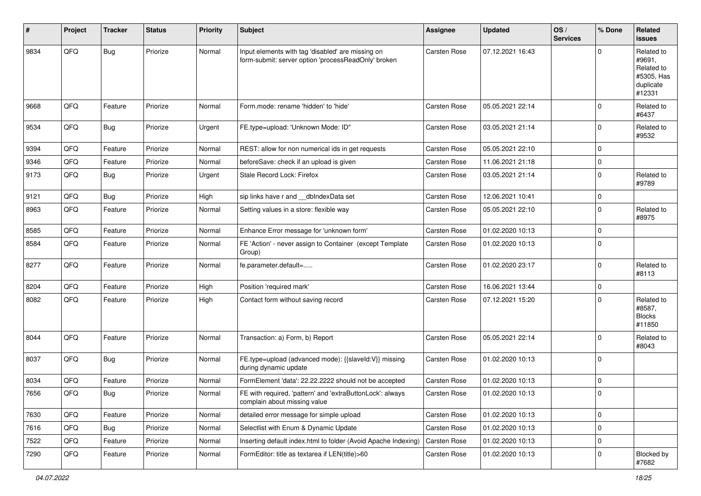| #    | Project | <b>Tracker</b> | <b>Status</b> | <b>Priority</b> | <b>Subject</b>                                                                                           | <b>Assignee</b>     | <b>Updated</b>   | OS/<br><b>Services</b> | % Done       | Related<br>issues                                                       |
|------|---------|----------------|---------------|-----------------|----------------------------------------------------------------------------------------------------------|---------------------|------------------|------------------------|--------------|-------------------------------------------------------------------------|
| 9834 | QFQ     | Bug            | Priorize      | Normal          | Input elements with tag 'disabled' are missing on<br>form-submit: server option 'processReadOnly' broken | <b>Carsten Rose</b> | 07.12.2021 16:43 |                        | <sup>0</sup> | Related to<br>#9691,<br>Related to<br>#5305, Has<br>duplicate<br>#12331 |
| 9668 | QFQ     | Feature        | Priorize      | Normal          | Form.mode: rename 'hidden' to 'hide'                                                                     | <b>Carsten Rose</b> | 05.05.2021 22:14 |                        | $\Omega$     | Related to<br>#6437                                                     |
| 9534 | QFQ     | Bug            | Priorize      | Urgent          | FE.type=upload: 'Unknown Mode: ID"                                                                       | <b>Carsten Rose</b> | 03.05.2021 21:14 |                        | $\Omega$     | Related to<br>#9532                                                     |
| 9394 | QFQ     | Feature        | Priorize      | Normal          | REST: allow for non numerical ids in get requests                                                        | Carsten Rose        | 05.05.2021 22:10 |                        | 0            |                                                                         |
| 9346 | QFQ     | Feature        | Priorize      | Normal          | beforeSave: check if an upload is given                                                                  | <b>Carsten Rose</b> | 11.06.2021 21:18 |                        | 0            |                                                                         |
| 9173 | QFQ     | <b>Bug</b>     | Priorize      | Urgent          | Stale Record Lock: Firefox                                                                               | <b>Carsten Rose</b> | 03.05.2021 21:14 |                        | $\Omega$     | Related to<br>#9789                                                     |
| 9121 | QFQ     | Bug            | Priorize      | High            | sip links have r and __dbIndexData set                                                                   | <b>Carsten Rose</b> | 12.06.2021 10:41 |                        | $\mathbf 0$  |                                                                         |
| 8963 | QFQ     | Feature        | Priorize      | Normal          | Setting values in a store: flexible way                                                                  | Carsten Rose        | 05.05.2021 22:10 |                        | 0            | Related to<br>#8975                                                     |
| 8585 | QFQ     | Feature        | Priorize      | Normal          | Enhance Error message for 'unknown form'                                                                 | <b>Carsten Rose</b> | 01.02.2020 10:13 |                        | $\mathbf 0$  |                                                                         |
| 8584 | QFQ     | Feature        | Priorize      | Normal          | FE 'Action' - never assign to Container (except Template<br>Group)                                       | Carsten Rose        | 01.02.2020 10:13 |                        | $\Omega$     |                                                                         |
| 8277 | QFQ     | Feature        | Priorize      | Normal          | fe.parameter.default=                                                                                    | Carsten Rose        | 01.02.2020 23:17 |                        | $\Omega$     | Related to<br>#8113                                                     |
| 8204 | QFQ     | Feature        | Priorize      | High            | Position 'required mark'                                                                                 | <b>Carsten Rose</b> | 16.06.2021 13:44 |                        | $\mathbf 0$  |                                                                         |
| 8082 | QFQ     | Feature        | Priorize      | High            | Contact form without saving record                                                                       | Carsten Rose        | 07.12.2021 15:20 |                        | $\Omega$     | Related to<br>#8587,<br><b>Blocks</b><br>#11850                         |
| 8044 | QFQ     | Feature        | Priorize      | Normal          | Transaction: a) Form, b) Report                                                                          | Carsten Rose        | 05.05.2021 22:14 |                        | $\Omega$     | Related to<br>#8043                                                     |
| 8037 | QFQ     | Bug            | Priorize      | Normal          | FE.type=upload (advanced mode): {{slaveld:V}} missing<br>during dynamic update                           | <b>Carsten Rose</b> | 01.02.2020 10:13 |                        | 0            |                                                                         |
| 8034 | QFQ     | Feature        | Priorize      | Normal          | FormElement 'data': 22.22.2222 should not be accepted                                                    | <b>Carsten Rose</b> | 01.02.2020 10:13 |                        | $\mathbf 0$  |                                                                         |
| 7656 | QFQ     | Bug            | Priorize      | Normal          | FE with required, 'pattern' and 'extraButtonLock': always<br>complain about missing value                | <b>Carsten Rose</b> | 01.02.2020 10:13 |                        | $\Omega$     |                                                                         |
| 7630 | QFQ     | Feature        | Priorize      | Normal          | detailed error message for simple upload                                                                 | Carsten Rose        | 01.02.2020 10:13 |                        | $\mathbf 0$  |                                                                         |
| 7616 | QFQ     | <b>Bug</b>     | Priorize      | Normal          | Selectlist with Enum & Dynamic Update                                                                    | Carsten Rose        | 01.02.2020 10:13 |                        | $\mathbf 0$  |                                                                         |
| 7522 | QFQ     | Feature        | Priorize      | Normal          | Inserting default index.html to folder (Avoid Apache Indexing)                                           | Carsten Rose        | 01.02.2020 10:13 |                        | 0            |                                                                         |
| 7290 | QFQ     | Feature        | Priorize      | Normal          | FormEditor: title as textarea if LEN(title)>60                                                           | Carsten Rose        | 01.02.2020 10:13 |                        | 0            | Blocked by<br>#7682                                                     |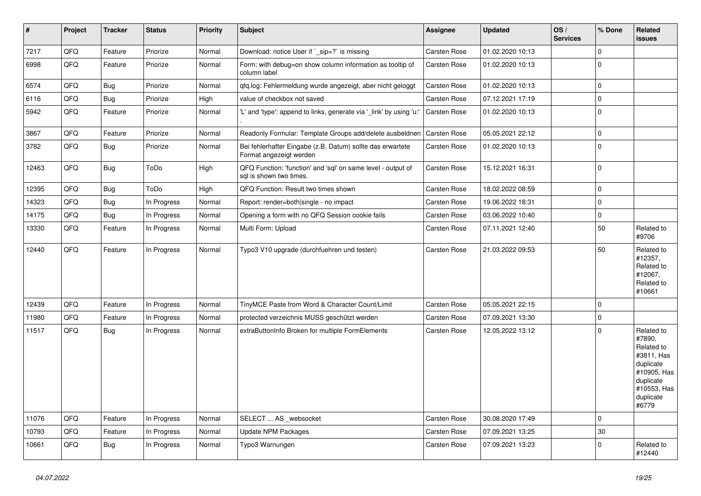| $\vert$ # | <b>Project</b> | <b>Tracker</b> | <b>Status</b> | <b>Priority</b> | <b>Subject</b>                                                                          | Assignee            | <b>Updated</b>   | OS/<br><b>Services</b> | % Done       | Related<br>issues                                                                                                              |
|-----------|----------------|----------------|---------------|-----------------|-----------------------------------------------------------------------------------------|---------------------|------------------|------------------------|--------------|--------------------------------------------------------------------------------------------------------------------------------|
| 7217      | QFQ            | Feature        | Priorize      | Normal          | Download: notice User if `_sip=?` is missing                                            | <b>Carsten Rose</b> | 01.02.2020 10:13 |                        | $\mathbf{0}$ |                                                                                                                                |
| 6998      | QFQ            | Feature        | Priorize      | Normal          | Form: with debug=on show column information as tooltip of<br>column label               | <b>Carsten Rose</b> | 01.02.2020 10:13 |                        | $\Omega$     |                                                                                                                                |
| 6574      | QFQ            | Bug            | Priorize      | Normal          | qfq.log: Fehlermeldung wurde angezeigt, aber nicht geloggt                              | <b>Carsten Rose</b> | 01.02.2020 10:13 |                        | $\mathbf 0$  |                                                                                                                                |
| 6116      | QFQ            | <b>Bug</b>     | Priorize      | High            | value of checkbox not saved                                                             | Carsten Rose        | 07.12.2021 17:19 |                        | 0            |                                                                                                                                |
| 5942      | QFQ            | Feature        | Priorize      | Normal          | 'L' and 'type': append to links, generate via '_link' by using 'u:                      | Carsten Rose        | 01.02.2020 10:13 |                        | $\mathbf 0$  |                                                                                                                                |
| 3867      | QFQ            | Feature        | Priorize      | Normal          | Readonly Formular: Template Groups add/delete ausbeldnen                                | <b>Carsten Rose</b> | 05.05.2021 22:12 |                        | $\mathbf{0}$ |                                                                                                                                |
| 3782      | QFQ            | <b>Bug</b>     | Priorize      | Normal          | Bei fehlerhafter Eingabe (z.B. Datum) sollte das erwartete<br>Format angezeigt werden   | Carsten Rose        | 01.02.2020 10:13 |                        | $\mathbf 0$  |                                                                                                                                |
| 12463     | QFQ            | Bug            | ToDo          | High            | QFQ Function: 'function' and 'sql' on same level - output of<br>sal is shown two times. | <b>Carsten Rose</b> | 15.12.2021 16:31 |                        | $\mathbf 0$  |                                                                                                                                |
| 12395     | QFQ            | Bug            | ToDo          | High            | QFQ Function: Result two times shown                                                    | Carsten Rose        | 18.02.2022 08:59 |                        | 0            |                                                                                                                                |
| 14323     | QFQ            | Bug            | In Progress   | Normal          | Report: render=both single - no impact                                                  | Carsten Rose        | 19.06.2022 18:31 |                        | $\mathbf 0$  |                                                                                                                                |
| 14175     | QFQ            | <b>Bug</b>     | In Progress   | Normal          | Opening a form with no QFQ Session cookie fails                                         | Carsten Rose        | 03.06.2022 10:40 |                        | $\mathsf{O}$ |                                                                                                                                |
| 13330     | QFQ            | Feature        | In Progress   | Normal          | Multi Form: Upload                                                                      | <b>Carsten Rose</b> | 07.11.2021 12:40 |                        | 50           | Related to<br>#9706                                                                                                            |
| 12440     | QFQ            | Feature        | In Progress   | Normal          | Typo3 V10 upgrade (durchfuehren und testen)                                             | Carsten Rose        | 21.03.2022 09:53 |                        | 50           | Related to<br>#12357,<br>Related to<br>#12067,<br>Related to<br>#10661                                                         |
| 12439     | QFQ            | Feature        | In Progress   | Normal          | TinyMCE Paste from Word & Character Count/Limit                                         | <b>Carsten Rose</b> | 05.05.2021 22:15 |                        | 0            |                                                                                                                                |
| 11980     | QFQ            | Feature        | In Progress   | Normal          | protected verzeichnis MUSS geschützt werden                                             | <b>Carsten Rose</b> | 07.09.2021 13:30 |                        | 0            |                                                                                                                                |
| 11517     | QFQ            | <b>Bug</b>     | In Progress   | Normal          | extraButtonInfo Broken for multiple FormElements                                        | <b>Carsten Rose</b> | 12.05.2022 13:12 |                        | $\mathbf 0$  | Related to<br>#7890,<br>Related to<br>#3811, Has<br>duplicate<br>#10905, Has<br>duplicate<br>#10553, Has<br>duplicate<br>#6779 |
| 11076     | QFQ            | Feature        | In Progress   | Normal          | SELECT  AS _websocket                                                                   | Carsten Rose        | 30.08.2020 17:49 |                        | $\mathbf 0$  |                                                                                                                                |
| 10793     | QFQ            | Feature        | In Progress   | Normal          | <b>Update NPM Packages</b>                                                              | <b>Carsten Rose</b> | 07.09.2021 13:25 |                        | 30           |                                                                                                                                |
| 10661     | QFQ            | Bug            | In Progress   | Normal          | Typo3 Warnungen                                                                         | <b>Carsten Rose</b> | 07.09.2021 13:23 |                        | $\mathbf{0}$ | Related to<br>#12440                                                                                                           |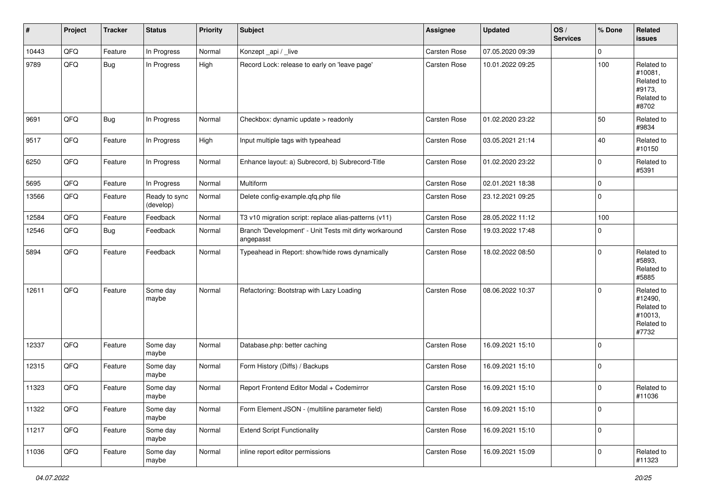| #     | Project | <b>Tracker</b> | <b>Status</b>              | <b>Priority</b> | <b>Subject</b>                                                      | <b>Assignee</b>     | <b>Updated</b>   | OS/<br><b>Services</b> | % Done       | Related<br><b>issues</b>                                              |
|-------|---------|----------------|----------------------------|-----------------|---------------------------------------------------------------------|---------------------|------------------|------------------------|--------------|-----------------------------------------------------------------------|
| 10443 | QFQ     | Feature        | In Progress                | Normal          | Konzept_api / _live                                                 | Carsten Rose        | 07.05.2020 09:39 |                        | $\mathbf 0$  |                                                                       |
| 9789  | QFQ     | Bug            | In Progress                | High            | Record Lock: release to early on 'leave page'                       | <b>Carsten Rose</b> | 10.01.2022 09:25 |                        | 100          | Related to<br>#10081,<br>Related to<br>#9173.<br>Related to<br>#8702  |
| 9691  | QFQ     | <b>Bug</b>     | In Progress                | Normal          | Checkbox: dynamic update > readonly                                 | Carsten Rose        | 01.02.2020 23:22 |                        | 50           | Related to<br>#9834                                                   |
| 9517  | QFQ     | Feature        | In Progress                | High            | Input multiple tags with typeahead                                  | <b>Carsten Rose</b> | 03.05.2021 21:14 |                        | 40           | Related to<br>#10150                                                  |
| 6250  | QFQ     | Feature        | In Progress                | Normal          | Enhance layout: a) Subrecord, b) Subrecord-Title                    | <b>Carsten Rose</b> | 01.02.2020 23:22 |                        | $\Omega$     | Related to<br>#5391                                                   |
| 5695  | QFQ     | Feature        | In Progress                | Normal          | Multiform                                                           | <b>Carsten Rose</b> | 02.01.2021 18:38 |                        | $\mathbf 0$  |                                                                       |
| 13566 | QFQ     | Feature        | Ready to sync<br>(develop) | Normal          | Delete config-example.qfq.php file                                  | <b>Carsten Rose</b> | 23.12.2021 09:25 |                        | $\Omega$     |                                                                       |
| 12584 | QFQ     | Feature        | Feedback                   | Normal          | T3 v10 migration script: replace alias-patterns (v11)               | Carsten Rose        | 28.05.2022 11:12 |                        | 100          |                                                                       |
| 12546 | QFQ     | <b>Bug</b>     | Feedback                   | Normal          | Branch 'Development' - Unit Tests mit dirty workaround<br>angepasst | Carsten Rose        | 19.03.2022 17:48 |                        | $\Omega$     |                                                                       |
| 5894  | QFQ     | Feature        | Feedback                   | Normal          | Typeahead in Report: show/hide rows dynamically                     | <b>Carsten Rose</b> | 18.02.2022 08:50 |                        | $\Omega$     | Related to<br>#5893,<br>Related to<br>#5885                           |
| 12611 | QFQ     | Feature        | Some day<br>maybe          | Normal          | Refactoring: Bootstrap with Lazy Loading                            | <b>Carsten Rose</b> | 08.06.2022 10:37 |                        | $\Omega$     | Related to<br>#12490,<br>Related to<br>#10013,<br>Related to<br>#7732 |
| 12337 | QFQ     | Feature        | Some day<br>maybe          | Normal          | Database.php: better caching                                        | Carsten Rose        | 16.09.2021 15:10 |                        | $\mathbf 0$  |                                                                       |
| 12315 | QFQ     | Feature        | Some day<br>maybe          | Normal          | Form History (Diffs) / Backups                                      | <b>Carsten Rose</b> | 16.09.2021 15:10 |                        | $\Omega$     |                                                                       |
| 11323 | QFQ     | Feature        | Some day<br>maybe          | Normal          | Report Frontend Editor Modal + Codemirror                           | Carsten Rose        | 16.09.2021 15:10 |                        | $\mathbf 0$  | Related to<br>#11036                                                  |
| 11322 | QFQ     | Feature        | Some day<br>maybe          | Normal          | Form Element JSON - (multiline parameter field)                     | Carsten Rose        | 16.09.2021 15:10 |                        | $\mathbf{0}$ |                                                                       |
| 11217 | QFQ     | Feature        | Some day<br>maybe          | Normal          | <b>Extend Script Functionality</b>                                  | Carsten Rose        | 16.09.2021 15:10 |                        | $\mathbf 0$  |                                                                       |
| 11036 | QFQ     | Feature        | Some day<br>maybe          | Normal          | inline report editor permissions                                    | Carsten Rose        | 16.09.2021 15:09 |                        | $\mathbf 0$  | Related to<br>#11323                                                  |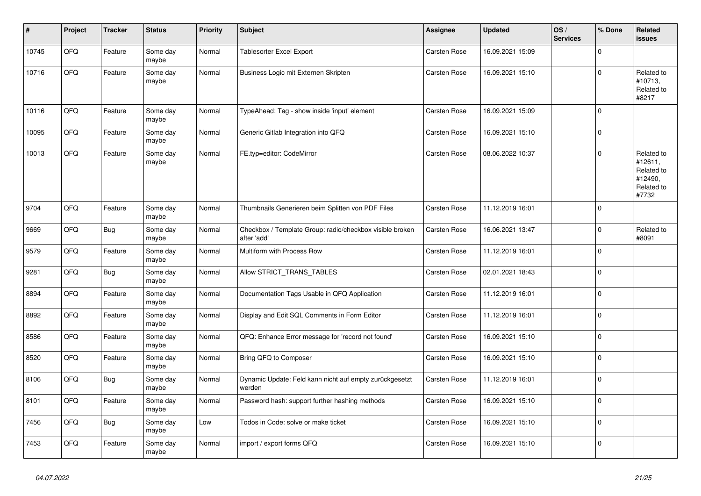| $\vert$ # | Project | <b>Tracker</b> | <b>Status</b>     | <b>Priority</b> | <b>Subject</b>                                                          | <b>Assignee</b>     | <b>Updated</b>   | OS/<br><b>Services</b> | % Done       | Related<br><b>issues</b>                                              |
|-----------|---------|----------------|-------------------|-----------------|-------------------------------------------------------------------------|---------------------|------------------|------------------------|--------------|-----------------------------------------------------------------------|
| 10745     | QFQ     | Feature        | Some day<br>maybe | Normal          | Tablesorter Excel Export                                                | <b>Carsten Rose</b> | 16.09.2021 15:09 |                        | 0            |                                                                       |
| 10716     | QFQ     | Feature        | Some day<br>maybe | Normal          | Business Logic mit Externen Skripten                                    | <b>Carsten Rose</b> | 16.09.2021 15:10 |                        | $\mathbf{0}$ | Related to<br>#10713,<br>Related to<br>#8217                          |
| 10116     | QFQ     | Feature        | Some day<br>maybe | Normal          | TypeAhead: Tag - show inside 'input' element                            | Carsten Rose        | 16.09.2021 15:09 |                        | $\Omega$     |                                                                       |
| 10095     | QFQ     | Feature        | Some day<br>maybe | Normal          | Generic Gitlab Integration into QFQ                                     | <b>Carsten Rose</b> | 16.09.2021 15:10 |                        | $\Omega$     |                                                                       |
| 10013     | QFQ     | Feature        | Some day<br>maybe | Normal          | FE.typ=editor: CodeMirror                                               | Carsten Rose        | 08.06.2022 10:37 |                        | 0            | Related to<br>#12611,<br>Related to<br>#12490.<br>Related to<br>#7732 |
| 9704      | QFQ     | Feature        | Some day<br>maybe | Normal          | Thumbnails Generieren beim Splitten von PDF Files                       | <b>Carsten Rose</b> | 11.12.2019 16:01 |                        | $\Omega$     |                                                                       |
| 9669      | QFQ     | Bug            | Some day<br>maybe | Normal          | Checkbox / Template Group: radio/checkbox visible broken<br>after 'add' | Carsten Rose        | 16.06.2021 13:47 |                        | 0            | Related to<br>#8091                                                   |
| 9579      | QFQ     | Feature        | Some day<br>maybe | Normal          | Multiform with Process Row                                              | <b>Carsten Rose</b> | 11.12.2019 16:01 |                        | $\Omega$     |                                                                       |
| 9281      | QFQ     | <b>Bug</b>     | Some day<br>maybe | Normal          | Allow STRICT_TRANS_TABLES                                               | <b>Carsten Rose</b> | 02.01.2021 18:43 |                        | $\Omega$     |                                                                       |
| 8894      | QFQ     | Feature        | Some day<br>maybe | Normal          | Documentation Tags Usable in QFQ Application                            | Carsten Rose        | 11.12.2019 16:01 |                        | $\Omega$     |                                                                       |
| 8892      | QFQ     | Feature        | Some day<br>maybe | Normal          | Display and Edit SQL Comments in Form Editor                            | <b>Carsten Rose</b> | 11.12.2019 16:01 |                        | $\mathbf 0$  |                                                                       |
| 8586      | QFQ     | Feature        | Some day<br>maybe | Normal          | QFQ: Enhance Error message for 'record not found'                       | Carsten Rose        | 16.09.2021 15:10 |                        | $\Omega$     |                                                                       |
| 8520      | QFQ     | Feature        | Some day<br>maybe | Normal          | Bring QFQ to Composer                                                   | <b>Carsten Rose</b> | 16.09.2021 15:10 |                        | $\mathbf{0}$ |                                                                       |
| 8106      | QFQ     | <b>Bug</b>     | Some day<br>maybe | Normal          | Dynamic Update: Feld kann nicht auf empty zurückgesetzt<br>werden       | <b>Carsten Rose</b> | 11.12.2019 16:01 |                        | $\Omega$     |                                                                       |
| 8101      | QFQ     | Feature        | Some day<br>maybe | Normal          | Password hash: support further hashing methods                          | Carsten Rose        | 16.09.2021 15:10 |                        | $\Omega$     |                                                                       |
| 7456      | QFQ     | <b>Bug</b>     | Some day<br>maybe | Low             | Todos in Code: solve or make ticket                                     | <b>Carsten Rose</b> | 16.09.2021 15:10 |                        | $\Omega$     |                                                                       |
| 7453      | QFQ     | Feature        | Some day<br>maybe | Normal          | import / export forms QFQ                                               | Carsten Rose        | 16.09.2021 15:10 |                        | $\Omega$     |                                                                       |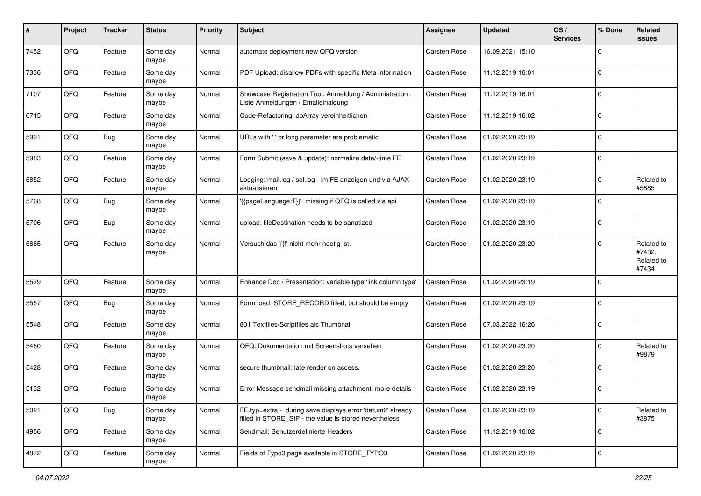| #    | Project | <b>Tracker</b> | <b>Status</b>     | <b>Priority</b> | <b>Subject</b>                                                                                                       | <b>Assignee</b>     | <b>Updated</b>   | OS/<br><b>Services</b> | % Done         | Related<br>issues                           |
|------|---------|----------------|-------------------|-----------------|----------------------------------------------------------------------------------------------------------------------|---------------------|------------------|------------------------|----------------|---------------------------------------------|
| 7452 | QFQ     | Feature        | Some day<br>maybe | Normal          | automate deployment new QFQ version                                                                                  | <b>Carsten Rose</b> | 16.09.2021 15:10 |                        | $\Omega$       |                                             |
| 7336 | QFQ     | Feature        | Some day<br>maybe | Normal          | PDF Upload: disallow PDFs with specific Meta information                                                             | <b>Carsten Rose</b> | 11.12.2019 16:01 |                        | $\mathbf 0$    |                                             |
| 7107 | QFQ     | Feature        | Some day<br>maybe | Normal          | Showcase Registration Tool: Anmeldung / Administration :<br>Liste Anmeldungen / Emaileinaldung                       | Carsten Rose        | 11.12.2019 16:01 |                        | $\Omega$       |                                             |
| 6715 | QFQ     | Feature        | Some day<br>maybe | Normal          | Code-Refactoring: dbArray vereinheitlichen                                                                           | <b>Carsten Rose</b> | 11.12.2019 16:02 |                        | $\mathbf 0$    |                                             |
| 5991 | QFQ     | <b>Bug</b>     | Some day<br>maybe | Normal          | URLs with ' ' or long parameter are problematic                                                                      | Carsten Rose        | 01.02.2020 23:19 |                        | $\Omega$       |                                             |
| 5983 | QFQ     | Feature        | Some day<br>maybe | Normal          | Form Submit (save & update): normalize date/-time FE                                                                 | Carsten Rose        | 01.02.2020 23:19 |                        | $\Omega$       |                                             |
| 5852 | QFQ     | Feature        | Some day<br>maybe | Normal          | Logging: mail.log / sql.log - im FE anzeigen und via AJAX<br>aktualisieren                                           | Carsten Rose        | 01.02.2020 23:19 |                        | $\Omega$       | Related to<br>#5885                         |
| 5768 | QFQ     | Bug            | Some day<br>maybe | Normal          | '{{pageLanguage:T}}' missing if QFQ is called via api                                                                | <b>Carsten Rose</b> | 01.02.2020 23:19 |                        | $\mathbf 0$    |                                             |
| 5706 | QFQ     | <b>Bug</b>     | Some day<br>maybe | Normal          | upload: fileDestination needs to be sanatized                                                                        | Carsten Rose        | 01.02.2020 23:19 |                        | $\overline{0}$ |                                             |
| 5665 | QFQ     | Feature        | Some day<br>maybe | Normal          | Versuch das '{{!' nicht mehr noetig ist.                                                                             | Carsten Rose        | 01.02.2020 23:20 |                        | $\Omega$       | Related to<br>#7432,<br>Related to<br>#7434 |
| 5579 | QFQ     | Feature        | Some day<br>maybe | Normal          | Enhance Doc / Presentation: variable type 'link column type'                                                         | <b>Carsten Rose</b> | 01.02.2020 23:19 |                        | $\Omega$       |                                             |
| 5557 | QFQ     | <b>Bug</b>     | Some day<br>maybe | Normal          | Form load: STORE_RECORD filled, but should be empty                                                                  | Carsten Rose        | 01.02.2020 23:19 |                        | $\Omega$       |                                             |
| 5548 | QFQ     | Feature        | Some day<br>maybe | Normal          | 801 Textfiles/Scriptfiles als Thumbnail                                                                              | Carsten Rose        | 07.03.2022 16:26 |                        | $\Omega$       |                                             |
| 5480 | QFQ     | Feature        | Some day<br>maybe | Normal          | QFQ: Dokumentation mit Screenshots versehen                                                                          | Carsten Rose        | 01.02.2020 23:20 |                        | $\Omega$       | Related to<br>#9879                         |
| 5428 | QFQ     | Feature        | Some day<br>maybe | Normal          | secure thumbnail: late render on access.                                                                             | Carsten Rose        | 01.02.2020 23:20 |                        | $\Omega$       |                                             |
| 5132 | QFQ     | Feature        | Some day<br>maybe | Normal          | Error Message sendmail missing attachment: more details                                                              | <b>Carsten Rose</b> | 01.02.2020 23:19 |                        | $\Omega$       |                                             |
| 5021 | QFQ     | Bug            | Some day<br>maybe | Normal          | FE.typ=extra - during save displays error 'datum2' already<br>filled in STORE SIP - the value is stored nevertheless | <b>Carsten Rose</b> | 01.02.2020 23:19 |                        | $\mathbf 0$    | Related to<br>#3875                         |
| 4956 | QFQ     | Feature        | Some day<br>maybe | Normal          | Sendmail: Benutzerdefinierte Headers                                                                                 | Carsten Rose        | 11.12.2019 16:02 |                        | $\overline{0}$ |                                             |
| 4872 | QFQ     | Feature        | Some day<br>maybe | Normal          | Fields of Typo3 page available in STORE_TYPO3                                                                        | Carsten Rose        | 01.02.2020 23:19 |                        | $\overline{0}$ |                                             |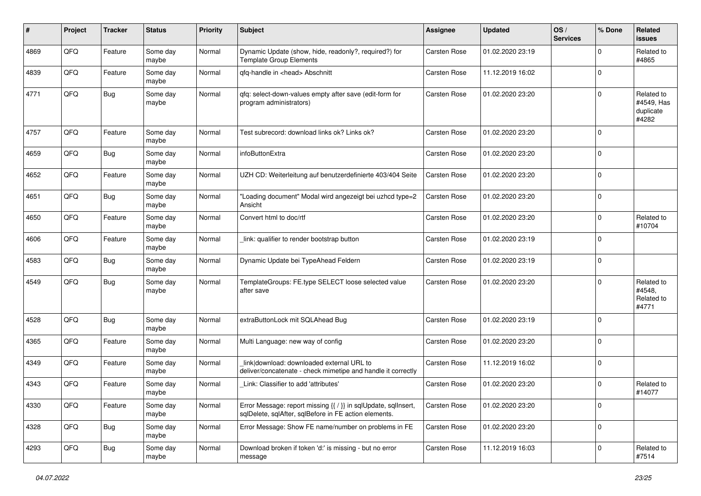| #    | Project | <b>Tracker</b> | <b>Status</b>     | <b>Priority</b> | <b>Subject</b>                                                                                                          | <b>Assignee</b>     | <b>Updated</b>   | OS/<br><b>Services</b> | % Done         | Related<br>issues                              |
|------|---------|----------------|-------------------|-----------------|-------------------------------------------------------------------------------------------------------------------------|---------------------|------------------|------------------------|----------------|------------------------------------------------|
| 4869 | QFQ     | Feature        | Some day<br>maybe | Normal          | Dynamic Update (show, hide, readonly?, required?) for<br><b>Template Group Elements</b>                                 | Carsten Rose        | 01.02.2020 23:19 |                        | $\Omega$       | Related to<br>#4865                            |
| 4839 | QFQ     | Feature        | Some day<br>maybe | Normal          | qfq-handle in <head> Abschnitt</head>                                                                                   | <b>Carsten Rose</b> | 11.12.2019 16:02 |                        | $\mathbf{0}$   |                                                |
| 4771 | QFQ     | <b>Bug</b>     | Some day<br>maybe | Normal          | qfq: select-down-values empty after save (edit-form for<br>program administrators)                                      | <b>Carsten Rose</b> | 01.02.2020 23:20 |                        | $\Omega$       | Related to<br>#4549, Has<br>duplicate<br>#4282 |
| 4757 | QFQ     | Feature        | Some day<br>maybe | Normal          | Test subrecord: download links ok? Links ok?                                                                            | <b>Carsten Rose</b> | 01.02.2020 23:20 |                        | $\mathbf{0}$   |                                                |
| 4659 | QFQ     | <b>Bug</b>     | Some day<br>maybe | Normal          | infoButtonExtra                                                                                                         | Carsten Rose        | 01.02.2020 23:20 |                        | $\mathbf 0$    |                                                |
| 4652 | QFQ     | Feature        | Some day<br>maybe | Normal          | UZH CD: Weiterleitung auf benutzerdefinierte 403/404 Seite                                                              | <b>Carsten Rose</b> | 01.02.2020 23:20 |                        | $\Omega$       |                                                |
| 4651 | QFQ     | <b>Bug</b>     | Some day<br>maybe | Normal          | "Loading document" Modal wird angezeigt bei uzhcd type=2<br>Ansicht                                                     | <b>Carsten Rose</b> | 01.02.2020 23:20 |                        | $\mathbf{0}$   |                                                |
| 4650 | QFQ     | Feature        | Some day<br>maybe | Normal          | Convert html to doc/rtf                                                                                                 | Carsten Rose        | 01.02.2020 23:20 |                        | $\Omega$       | Related to<br>#10704                           |
| 4606 | QFQ     | Feature        | Some day<br>maybe | Normal          | link: qualifier to render bootstrap button                                                                              | Carsten Rose        | 01.02.2020 23:19 |                        | $\Omega$       |                                                |
| 4583 | QFQ     | <b>Bug</b>     | Some day<br>maybe | Normal          | Dynamic Update bei TypeAhead Feldern                                                                                    | Carsten Rose        | 01.02.2020 23:19 |                        | $\mathbf{0}$   |                                                |
| 4549 | QFQ     | Bug            | Some day<br>maybe | Normal          | TemplateGroups: FE.type SELECT loose selected value<br>after save                                                       | <b>Carsten Rose</b> | 01.02.2020 23:20 |                        | $\mathbf 0$    | Related to<br>#4548,<br>Related to<br>#4771    |
| 4528 | QFQ     | <b>Bug</b>     | Some day<br>maybe | Normal          | extraButtonLock mit SQLAhead Bug                                                                                        | Carsten Rose        | 01.02.2020 23:19 |                        | $\Omega$       |                                                |
| 4365 | QFQ     | Feature        | Some day<br>maybe | Normal          | Multi Language: new way of config                                                                                       | Carsten Rose        | 01.02.2020 23:20 |                        | $\mathbf 0$    |                                                |
| 4349 | QFQ     | Feature        | Some day<br>maybe | Normal          | link download: downloaded external URL to<br>deliver/concatenate - check mimetipe and handle it correctly               | Carsten Rose        | 11.12.2019 16:02 |                        | 0              |                                                |
| 4343 | QFQ     | Feature        | Some day<br>maybe | Normal          | Link: Classifier to add 'attributes'                                                                                    | Carsten Rose        | 01.02.2020 23:20 |                        | $\Omega$       | Related to<br>#14077                           |
| 4330 | QFG     | Feature        | Some day<br>maybe | Normal          | Error Message: report missing {{ / }} in sqlUpdate, sqlInsert,<br>sqlDelete, sqlAfter, sqlBefore in FE action elements. | <b>Carsten Rose</b> | 01.02.2020 23:20 |                        | 0              |                                                |
| 4328 | QFO     | Bug            | Some day<br>maybe | Normal          | Error Message: Show FE name/number on problems in FE                                                                    | Carsten Rose        | 01.02.2020 23:20 |                        | $\overline{0}$ |                                                |
| 4293 | QFQ     | <b>Bug</b>     | Some day<br>maybe | Normal          | Download broken if token 'd:' is missing - but no error<br>message                                                      | Carsten Rose        | 11.12.2019 16:03 |                        | $\mathbf 0$    | Related to<br>#7514                            |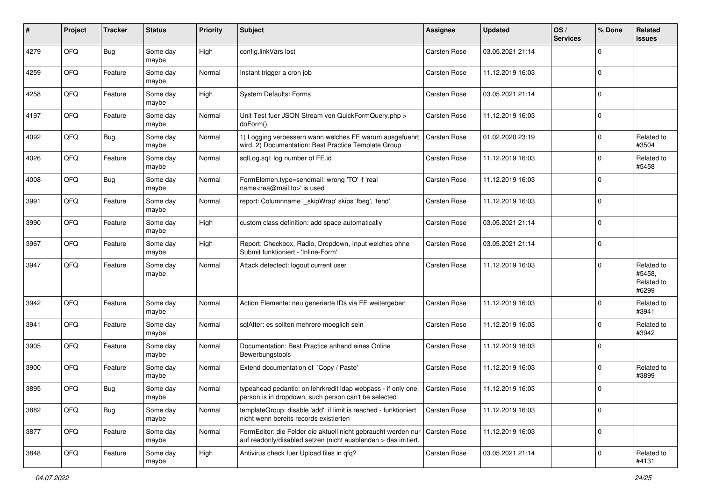| $\#$ | Project | <b>Tracker</b> | <b>Status</b>     | <b>Priority</b> | Subject                                                                                                                          | <b>Assignee</b>     | <b>Updated</b>   | OS/<br><b>Services</b> | % Done       | Related<br><b>issues</b>                    |
|------|---------|----------------|-------------------|-----------------|----------------------------------------------------------------------------------------------------------------------------------|---------------------|------------------|------------------------|--------------|---------------------------------------------|
| 4279 | QFQ     | Bug            | Some day<br>maybe | High            | config.linkVars lost                                                                                                             | <b>Carsten Rose</b> | 03.05.2021 21:14 |                        | <sup>0</sup> |                                             |
| 4259 | QFQ     | Feature        | Some day<br>maybe | Normal          | Instant trigger a cron job                                                                                                       | <b>Carsten Rose</b> | 11.12.2019 16:03 |                        | $\mathbf 0$  |                                             |
| 4258 | QFQ     | Feature        | Some day<br>maybe | High            | <b>System Defaults: Forms</b>                                                                                                    | <b>Carsten Rose</b> | 03.05.2021 21:14 |                        | 0            |                                             |
| 4197 | QFQ     | Feature        | Some day<br>maybe | Normal          | Unit Test fuer JSON Stream von QuickFormQuery.php ><br>doForm()                                                                  | <b>Carsten Rose</b> | 11.12.2019 16:03 |                        | $\mathbf 0$  |                                             |
| 4092 | QFQ     | Bug            | Some day<br>maybe | Normal          | 1) Logging verbessern wann welches FE warum ausgefuehrt<br>wird, 2) Documentation: Best Practice Template Group                  | <b>Carsten Rose</b> | 01.02.2020 23:19 |                        | 0            | Related to<br>#3504                         |
| 4026 | QFQ     | Feature        | Some day<br>maybe | Normal          | sqlLog.sql: log number of FE.id                                                                                                  | <b>Carsten Rose</b> | 11.12.2019 16:03 |                        | 0            | Related to<br>#5458                         |
| 4008 | QFQ     | Bug            | Some day<br>maybe | Normal          | FormElemen.type=sendmail: wrong 'TO' if 'real<br>name <rea@mail.to>' is used</rea@mail.to>                                       | <b>Carsten Rose</b> | 11.12.2019 16:03 |                        | <sup>0</sup> |                                             |
| 3991 | QFQ     | Feature        | Some day<br>maybe | Normal          | report: Columnname '_skipWrap' skips 'fbeg', 'fend'                                                                              | <b>Carsten Rose</b> | 11.12.2019 16:03 |                        | 0            |                                             |
| 3990 | QFQ     | Feature        | Some day<br>maybe | High            | custom class definition: add space automatically                                                                                 | <b>Carsten Rose</b> | 03.05.2021 21:14 |                        | $\Omega$     |                                             |
| 3967 | QFQ     | Feature        | Some day<br>maybe | High            | Report: Checkbox, Radio, Dropdown, Input welches ohne<br>Submit funktioniert - 'Inline-Form'                                     | <b>Carsten Rose</b> | 03.05.2021 21:14 |                        | 0            |                                             |
| 3947 | QFQ     | Feature        | Some day<br>maybe | Normal          | Attack detectect: logout current user                                                                                            | Carsten Rose        | 11.12.2019 16:03 |                        | $\Omega$     | Related to<br>#5458,<br>Related to<br>#6299 |
| 3942 | QFQ     | Feature        | Some day<br>maybe | Normal          | Action Elemente: neu generierte IDs via FE weitergeben                                                                           | <b>Carsten Rose</b> | 11.12.2019 16:03 |                        | <sup>0</sup> | Related to<br>#3941                         |
| 3941 | QFQ     | Feature        | Some day<br>maybe | Normal          | sqlAfter: es sollten mehrere moeglich sein                                                                                       | <b>Carsten Rose</b> | 11.12.2019 16:03 |                        | 0            | Related to<br>#3942                         |
| 3905 | QFQ     | Feature        | Some day<br>maybe | Normal          | Documentation: Best Practice anhand eines Online<br>Bewerbungstools                                                              | <b>Carsten Rose</b> | 11.12.2019 16:03 |                        | 0            |                                             |
| 3900 | QFQ     | Feature        | Some day<br>maybe | Normal          | Extend documentation of 'Copy / Paste'                                                                                           | <b>Carsten Rose</b> | 11.12.2019 16:03 |                        | $\Omega$     | Related to<br>#3899                         |
| 3895 | QFQ     | Bug            | Some day<br>maybe | Normal          | typeahead pedantic: on lehrkredit Idap webpass - if only one<br>person is in dropdown, such person can't be selected             | <b>Carsten Rose</b> | 11.12.2019 16:03 |                        | 0            |                                             |
| 3882 | QFQ     | <b>Bug</b>     | Some day<br>maybe | Normal          | templateGroup: disable 'add' if limit is reached - funktioniert<br>nicht wenn bereits records existierten                        | Carsten Rose        | 11.12.2019 16:03 |                        | $\mathbf 0$  |                                             |
| 3877 | QFQ     | Feature        | Some day<br>maybe | Normal          | FormEditor: die Felder die aktuell nicht gebraucht werden nur<br>auf readonly/disabled setzen (nicht ausblenden > das irritiert. | <b>Carsten Rose</b> | 11.12.2019 16:03 |                        | $\mathbf 0$  |                                             |
| 3848 | QFQ     | Feature        | Some day<br>maybe | High            | Antivirus check fuer Upload files in qfq?                                                                                        | Carsten Rose        | 03.05.2021 21:14 |                        | $\mathbf 0$  | Related to<br>#4131                         |